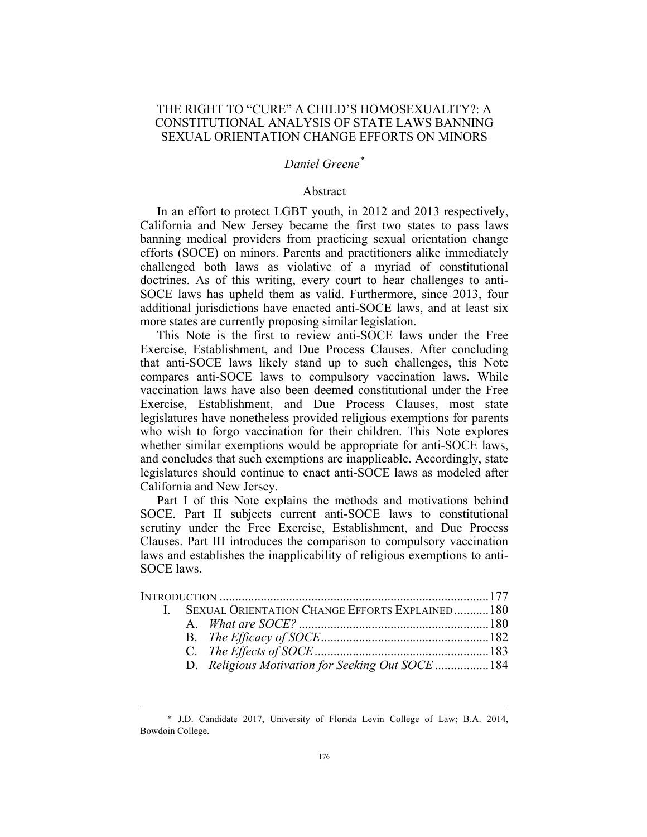## THE RIGHT TO "CURE" A CHILD'S HOMOSEXUALITY?: A CONSTITUTIONAL ANALYSIS OF STATE LAWS BANNING SEXUAL ORIENTATION CHANGE EFFORTS ON MINORS

# *Daniel Greene\**

### Abstract

In an effort to protect LGBT youth, in 2012 and 2013 respectively, California and New Jersey became the first two states to pass laws banning medical providers from practicing sexual orientation change efforts (SOCE) on minors. Parents and practitioners alike immediately challenged both laws as violative of a myriad of constitutional doctrines. As of this writing, every court to hear challenges to anti-SOCE laws has upheld them as valid. Furthermore, since 2013, four additional jurisdictions have enacted anti-SOCE laws, and at least six more states are currently proposing similar legislation.

This Note is the first to review anti-SOCE laws under the Free Exercise, Establishment, and Due Process Clauses. After concluding that anti-SOCE laws likely stand up to such challenges, this Note compares anti-SOCE laws to compulsory vaccination laws. While vaccination laws have also been deemed constitutional under the Free Exercise, Establishment, and Due Process Clauses, most state legislatures have nonetheless provided religious exemptions for parents who wish to forgo vaccination for their children. This Note explores whether similar exemptions would be appropriate for anti-SOCE laws, and concludes that such exemptions are inapplicable. Accordingly, state legislatures should continue to enact anti-SOCE laws as modeled after California and New Jersey.

Part I of this Note explains the methods and motivations behind SOCE. Part II subjects current anti-SOCE laws to constitutional scrutiny under the Free Exercise, Establishment, and Due Process Clauses. Part III introduces the comparison to compulsory vaccination laws and establishes the inapplicability of religious exemptions to anti-SOCE laws.

|  | I. SEXUAL ORIENTATION CHANGE EFFORTS EXPLAINED180 |  |
|--|---------------------------------------------------|--|
|  |                                                   |  |
|  |                                                   |  |
|  |                                                   |  |
|  | D. Religious Motivation for Seeking Out SOCE 184  |  |

 <sup>\*</sup> J.D. Candidate 2017, University of Florida Levin College of Law; B.A. 2014, Bowdoin College.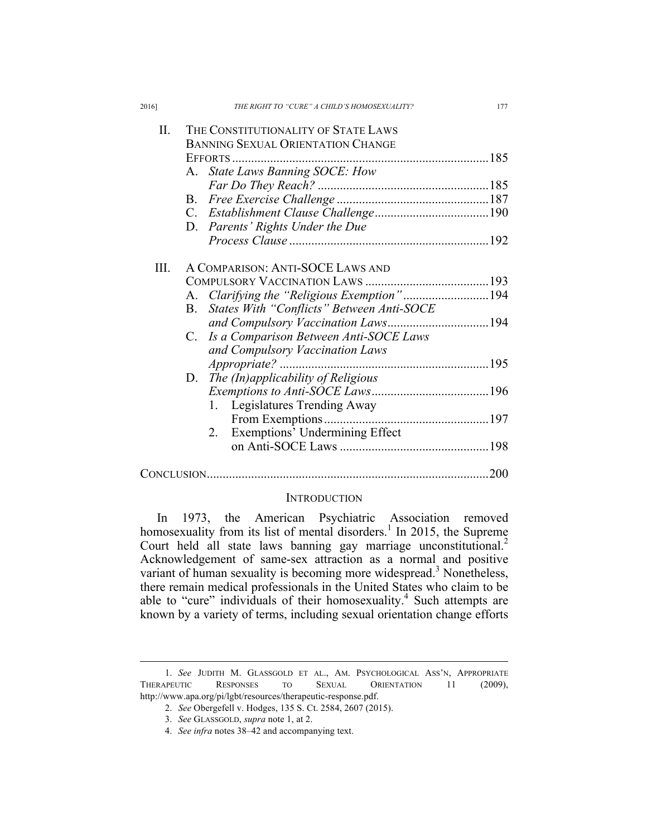| 2016] | THE RIGHT TO "CURE" A CHILD'S HOMOSEXUALITY? | 177                  |
|-------|----------------------------------------------|----------------------|
| Π.    | THE CONSTITUTIONALITY OF STATE LAWS          |                      |
|       | BANNING SEXUAL ORIENTATION CHANGE            |                      |
|       |                                              |                      |
|       | A. State Laws Banning SOCE: How              |                      |
|       |                                              |                      |
|       | B.                                           |                      |
|       |                                              |                      |
|       | D. Parents' Rights Under the Due             |                      |
|       |                                              |                      |
|       |                                              |                      |
| Ш.    | A COMPARISON: ANTI-SOCE LAWS AND             |                      |
|       |                                              |                      |
|       |                                              |                      |
|       | B. States With "Conflicts" Between Anti-SOCE |                      |
|       | and Compulsory Vaccination Laws194           |                      |
|       | Is a Comparison Between Anti-SOCE Laws<br>C. |                      |
|       | and Compulsory Vaccination Laws              |                      |
|       |                                              |                      |
|       | D. The (In)applicability of Religious        |                      |
|       |                                              |                      |
|       | 1. Legislatures Trending Away                |                      |
|       |                                              |                      |
|       | Exemptions' Undermining Effect<br>2.         |                      |
|       |                                              |                      |
|       |                                              |                      |
|       |                                              | $\sim$ $\sim$ $\sim$ |

# CONCLUSION.........................................................................................200

### **INTRODUCTION**

In 1973, the American Psychiatric Association removed homosexuality from its list of mental disorders.<sup>1</sup> In 2015, the Supreme Court held all state laws banning gay marriage unconstitutional.<sup>2</sup> Acknowledgement of same-sex attraction as a normal and positive variant of human sexuality is becoming more widespread.<sup>3</sup> Nonetheless, there remain medical professionals in the United States who claim to be able to "cure" individuals of their homosexuality.<sup>4</sup> Such attempts are known by a variety of terms, including sexual orientation change efforts

 <sup>1.</sup> *See* JUDITH M. GLASSGOLD ET AL., AM. PSYCHOLOGICAL ASS'N, APPROPRIATE THERAPEUTIC RESPONSES TO SEXUAL ORIENTATION 11 (2009), http://www.apa.org/pi/lgbt/resources/therapeutic-response.pdf.

<sup>2.</sup> *See* Obergefell v. Hodges, 135 S. Ct. 2584, 2607 (2015).

<sup>3.</sup> *See* GLASSGOLD, *supra* note 1, at 2.

<sup>4.</sup> *See infra* notes 38–42 and accompanying text.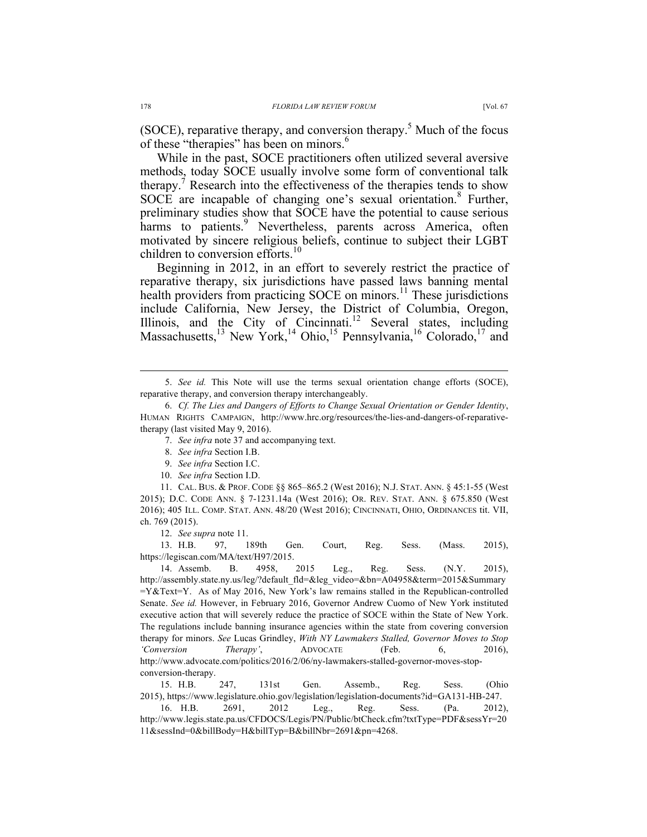(SOCE), reparative therapy, and conversion therapy.<sup>5</sup> Much of the focus of these "therapies" has been on minors.<sup>6</sup>

While in the past, SOCE practitioners often utilized several aversive methods, today SOCE usually involve some form of conventional talk therapy.<sup>7</sup> Research into the effectiveness of the therapies tends to show SOCE are incapable of changing one's sexual orientation.<sup>8</sup> Further, preliminary studies show that SOCE have the potential to cause serious harms to patients.<sup>9</sup> Nevertheless, parents across America, often motivated by sincere religious beliefs, continue to subject their LGBT children to conversion efforts.<sup>10</sup>

Beginning in 2012, in an effort to severely restrict the practice of reparative therapy, six jurisdictions have passed laws banning mental health providers from practicing SOCE on minors.<sup>11</sup> These jurisdictions include California, New Jersey, the District of Columbia, Oregon, Illinois, and the City of Cincinnati.<sup>12</sup> Several states, including Massachusetts,<sup>13</sup> New York,<sup>14</sup> Ohio,<sup>15</sup> Pennsylvania,<sup>16</sup> Colorado,<sup>17</sup> and

- 7. *See infra* note 37 and accompanying text.
- 8. *See infra* Section I.B.
- 9. *See infra* Section I.C.
- 10. *See infra* Section I.D.

11. CAL. BUS. & PROF. CODE §§ 865–865.2 (West 2016); N.J. STAT. ANN. § 45:1-55 (West 2015); D.C. CODE ANN. § 7-1231.14a (West 2016); OR. REV. STAT. ANN. § 675.850 (West 2016); 405 ILL. COMP. STAT. ANN. 48/20 (West 2016); CINCINNATI, OHIO, ORDINANCES tit. VII, ch. 769 (2015).

12. *See supra* note 11.

13. H.B. 97, 189th Gen. Court, Reg. Sess. (Mass. 2015), https://legiscan.com/MA/text/H97/2015.

14. Assemb. B. 4958, 2015 Leg., Reg. Sess. (N.Y. 2015), http://assembly.state.ny.us/leg/?default\_fld=&leg\_video=&bn=A04958&term=2015&Summary  $=Y&Text=Y$ . As of May 2016, New York's law remains stalled in the Republican-controlled Senate. *See id.* However, in February 2016, Governor Andrew Cuomo of New York instituted executive action that will severely reduce the practice of SOCE within the State of New York. The regulations include banning insurance agencies within the state from covering conversion therapy for minors. *See* Lucas Grindley, *With NY Lawmakers Stalled, Governor Moves to Stop 'Conversion Therapy'*, ADVOCATE (Feb. 6, 2016), http://www.advocate.com/politics/2016/2/06/ny-lawmakers-stalled-governor-moves-stopconversion-therapy.

15. H.B. 247, 131st Gen. Assemb., Reg. Sess. (Ohio 2015), https://www.legislature.ohio.gov/legislation/legislation-documents?id=GA131-HB-247.

16. H.B. 2691, 2012 Leg., Reg. Sess. (Pa. 2012), http://www.legis.state.pa.us/CFDOCS/Legis/PN/Public/btCheck.cfm?txtType=PDF&sessYr=20 11&sessInd=0&billBody=H&billTyp=B&billNbr=2691&pn=4268.

 <sup>5.</sup> *See id.* This Note will use the terms sexual orientation change efforts (SOCE), reparative therapy, and conversion therapy interchangeably.

<sup>6.</sup> *Cf. The Lies and Dangers of Efforts to Change Sexual Orientation or Gender Identity*, HUMAN RIGHTS CAMPAIGN, http://www.hrc.org/resources/the-lies-and-dangers-of-reparativetherapy (last visited May 9, 2016).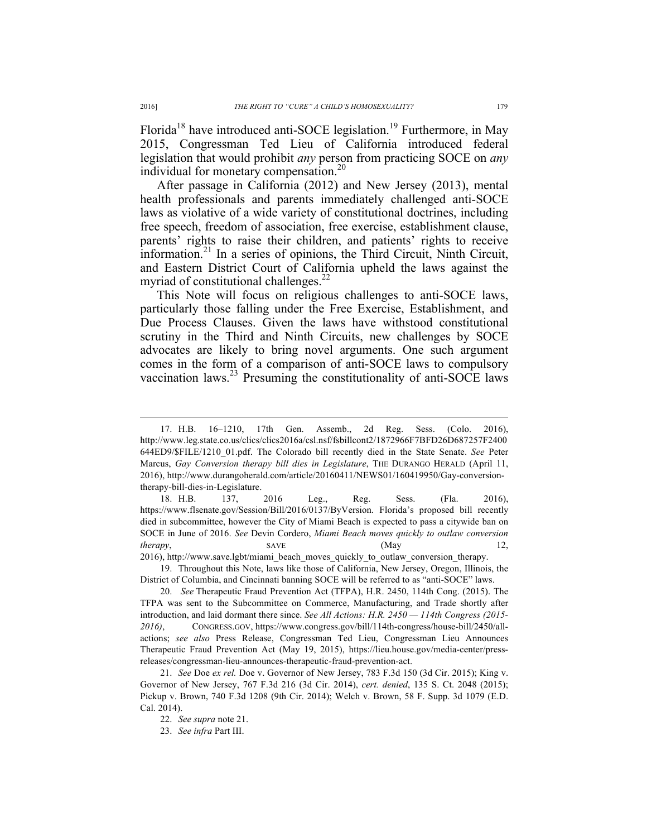Florida<sup>18</sup> have introduced anti-SOCE legislation.<sup>19</sup> Furthermore, in May 2015, Congressman Ted Lieu of California introduced federal legislation that would prohibit *any* person from practicing SOCE on *any* individual for monetary compensation.<sup>20</sup>

After passage in California (2012) and New Jersey (2013), mental health professionals and parents immediately challenged anti-SOCE laws as violative of a wide variety of constitutional doctrines, including free speech, freedom of association, free exercise, establishment clause, parents' rights to raise their children, and patients' rights to receive information.<sup>21</sup> In a series of opinions, the Third Circuit, Ninth Circuit, and Eastern District Court of California upheld the laws against the myriad of constitutional challenges. $^{22}$ 

This Note will focus on religious challenges to anti-SOCE laws, particularly those falling under the Free Exercise, Establishment, and Due Process Clauses. Given the laws have withstood constitutional scrutiny in the Third and Ninth Circuits, new challenges by SOCE advocates are likely to bring novel arguments. One such argument comes in the form of a comparison of anti-SOCE laws to compulsory vaccination laws.<sup>23</sup> Presuming the constitutionality of anti-SOCE laws

 <sup>17.</sup> H.B. 16–1210, 17th Gen. Assemb., 2d Reg. Sess. (Colo. 2016), http://www.leg.state.co.us/clics/clics2016a/csl.nsf/fsbillcont2/1872966F7BFD26D687257F2400 644ED9/\$FILE/1210\_01.pdf. The Colorado bill recently died in the State Senate. *See* Peter Marcus, *Gay Conversion therapy bill dies in Legislature*, THE DURANGO HERALD (April 11, 2016), http://www.durangoherald.com/article/20160411/NEWS01/160419950/Gay-conversiontherapy-bill-dies-in-Legislature.

<sup>18.</sup> H.B. 137, 2016 Leg., Reg. Sess. (Fla. 2016), https://www.flsenate.gov/Session/Bill/2016/0137/ByVersion. Florida's proposed bill recently died in subcommittee, however the City of Miami Beach is expected to pass a citywide ban on SOCE in June of 2016. *See* Devin Cordero, *Miami Beach moves quickly to outlaw conversion therapy*, SAVE (May 12,

<sup>2016),</sup> http://www.save.lgbt/miami\_beach\_moves\_quickly\_to\_outlaw\_conversion\_therapy.

<sup>19.</sup> Throughout this Note, laws like those of California, New Jersey, Oregon, Illinois, the District of Columbia, and Cincinnati banning SOCE will be referred to as "anti-SOCE" laws.

<sup>20.</sup> *See* Therapeutic Fraud Prevention Act (TFPA), H.R. 2450, 114th Cong. (2015). The TFPA was sent to the Subcommittee on Commerce, Manufacturing, and Trade shortly after introduction, and laid dormant there since. *See All Actions: H.R. 2450 — 114th Congress (2015- 2016)*, CONGRESS.GOV, https://www.congress.gov/bill/114th-congress/house-bill/2450/allactions; *see also* Press Release, Congressman Ted Lieu, Congressman Lieu Announces Therapeutic Fraud Prevention Act (May 19, 2015), https://lieu.house.gov/media-center/pressreleases/congressman-lieu-announces-therapeutic-fraud-prevention-act.

<sup>21.</sup> *See* Doe *ex rel.* Doe v. Governor of New Jersey, 783 F.3d 150 (3d Cir. 2015); King v. Governor of New Jersey, 767 F.3d 216 (3d Cir. 2014), *cert. denied*, 135 S. Ct. 2048 (2015); Pickup v. Brown, 740 F.3d 1208 (9th Cir. 2014); Welch v. Brown, 58 F. Supp. 3d 1079 (E.D. Cal. 2014).

<sup>22.</sup> *See supra* note 21.

<sup>23.</sup> *See infra* Part III.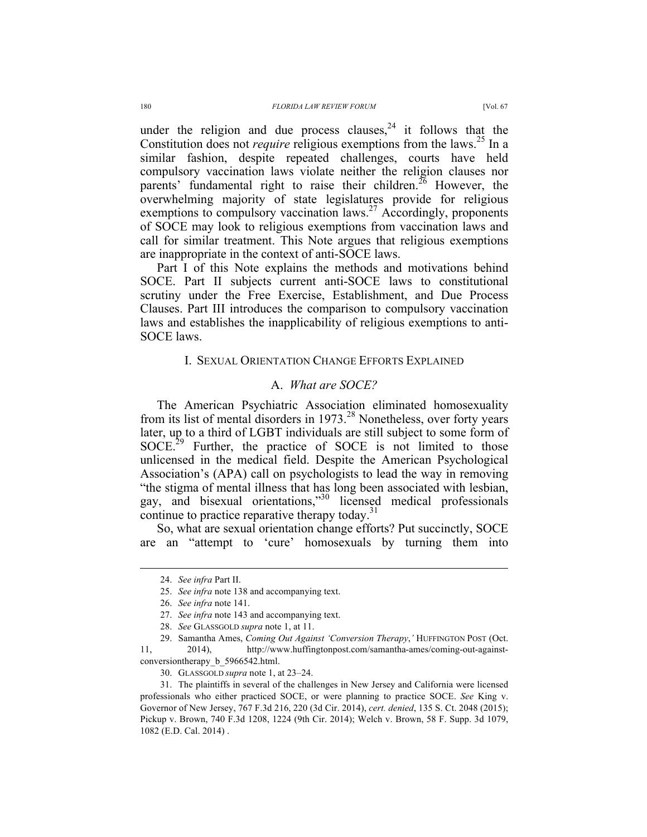under the religion and due process clauses,  $24$  it follows that the Constitution does not *require* religious exemptions from the laws.<sup>25</sup> In a similar fashion, despite repeated challenges, courts have held compulsory vaccination laws violate neither the religion clauses nor parents' fundamental right to raise their children.<sup>26</sup> However, the overwhelming majority of state legislatures provide for religious exemptions to compulsory vaccination laws.<sup>27</sup> Accordingly, proponents of SOCE may look to religious exemptions from vaccination laws and call for similar treatment. This Note argues that religious exemptions

Part I of this Note explains the methods and motivations behind SOCE. Part II subjects current anti-SOCE laws to constitutional scrutiny under the Free Exercise, Establishment, and Due Process Clauses. Part III introduces the comparison to compulsory vaccination laws and establishes the inapplicability of religious exemptions to anti-SOCE laws.

are inappropriate in the context of anti-SOCE laws.

### I. SEXUAL ORIENTATION CHANGE EFFORTS EXPLAINED

### A. *What are SOCE?*

The American Psychiatric Association eliminated homosexuality from its list of mental disorders in  $1973<sup>28</sup>$  Nonetheless, over forty years later, up to a third of LGBT individuals are still subject to some form of  $SOCE<sup>29</sup>$  Further, the practice of SOCE is not limited to those unlicensed in the medical field. Despite the American Psychological Association's (APA) call on psychologists to lead the way in removing "the stigma of mental illness that has long been associated with lesbian, gay, and bisexual orientations," <sup>30</sup> licensed medical professionals continue to practice reparative therapy today. $31$ 

So, what are sexual orientation change efforts? Put succinctly, SOCE are an "attempt to 'cure' homosexuals by turning them into

11, 2014), http://www.huffingtonpost.com/samantha-ames/coming-out-againstconversiontherapy b 5966542.html.

30. GLASSGOLD *supra* note 1, at 23–24.

31. The plaintiffs in several of the challenges in New Jersey and California were licensed professionals who either practiced SOCE, or were planning to practice SOCE. *See* King v. Governor of New Jersey, 767 F.3d 216, 220 (3d Cir. 2014), *cert. denied*, 135 S. Ct. 2048 (2015); Pickup v. Brown, 740 F.3d 1208, 1224 (9th Cir. 2014); Welch v. Brown, 58 F. Supp. 3d 1079, 1082 (E.D. Cal. 2014) .

 <sup>24.</sup> *See infra* Part II.

<sup>25.</sup> *See infra* note 138 and accompanying text.

<sup>26.</sup> *See infra* note 141.

<sup>27.</sup> *See infra* note 143 and accompanying text.

<sup>28.</sup> *See* GLASSGOLD *supra* note 1, at 11.

<sup>29.</sup> Samantha Ames, *Coming Out Against 'Conversion Therapy*,*'* HUFFINGTON POST (Oct.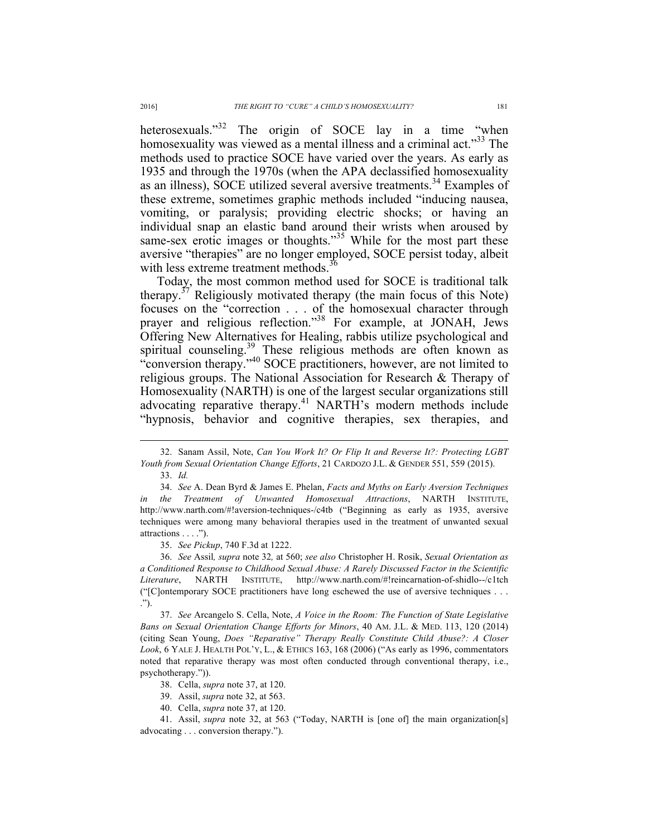heterosexuals."<sup>32</sup> The origin of SOCE lay in a time "when homosexuality was viewed as a mental illness and a criminal act."<sup>33</sup> The methods used to practice SOCE have varied over the years. As early as 1935 and through the 1970s (when the APA declassified homosexuality as an illness), SOCE utilized several aversive treatments.<sup>34</sup> Examples of these extreme, sometimes graphic methods included "inducing nausea, vomiting, or paralysis; providing electric shocks; or having an individual snap an elastic band around their wrists when aroused by same-sex erotic images or thoughts."<sup>35</sup> While for the most part these aversive "therapies" are no longer employed, SOCE persist today, albeit with less extreme treatment methods.<sup>36</sup>

Today, the most common method used for SOCE is traditional talk therapy. $37$  Religiously motivated therapy (the main focus of this Note) focuses on the "correction . . . of the homosexual character through prayer and religious reflection."<sup>38</sup> For example, at JONAH, Jews Offering New Alternatives for Healing, rabbis utilize psychological and spiritual counseling.<sup>39</sup> These religious methods are often known as "conversion therapy."<sup>40</sup> SOCE practitioners, however, are not limited to religious groups. The National Association for Research & Therapy of Homosexuality (NARTH) is one of the largest secular organizations still advocating reparative therapy.<sup>41</sup> NARTH's modern methods include "hypnosis, behavior and cognitive therapies, sex therapies, and

35. *See Pickup*, 740 F.3d at 1222.

 <sup>32.</sup> Sanam Assil, Note, *Can You Work It? Or Flip It and Reverse It?: Protecting LGBT Youth from Sexual Orientation Change Efforts*, 21 CARDOZO J.L. & GENDER 551, 559 (2015).

<sup>33.</sup> *Id.*

<sup>34.</sup> *See* A. Dean Byrd & James E. Phelan, *Facts and Myths on Early Aversion Techniques in the Treatment of Unwanted Homosexual Attractions*, NARTH INSTITUTE, http://www.narth.com/#!aversion-techniques-/c4tb ("Beginning as early as 1935, aversive techniques were among many behavioral therapies used in the treatment of unwanted sexual attractions . . . .").

<sup>36.</sup> *See* Assil*, supra* note 32*,* at 560; *see also* Christopher H. Rosik, *Sexual Orientation as a Conditioned Response to Childhood Sexual Abuse: A Rarely Discussed Factor in the Scientific Literature*, NARTH INSTITUTE, http://www.narth.com/#!reincarnation-of-shidlo--/c1tch ("[C]ontemporary SOCE practitioners have long eschewed the use of aversive techniques . . . .").

<sup>37.</sup> *See* Arcangelo S. Cella, Note, *A Voice in the Room: The Function of State Legislative Bans on Sexual Orientation Change Efforts for Minors*, 40 AM. J.L. & MED. 113, 120 (2014) (citing Sean Young, *Does "Reparative" Therapy Really Constitute Child Abuse?: A Closer Look*, 6 YALE J. HEALTH POL'Y, L., & ETHICS 163, 168 (2006) ("As early as 1996, commentators noted that reparative therapy was most often conducted through conventional therapy, i.e., psychotherapy.")).

<sup>38.</sup> Cella, *supra* note 37, at 120.

<sup>39.</sup> Assil, *supra* note 32, at 563.

<sup>40.</sup> Cella, *supra* note 37, at 120.

<sup>41.</sup> Assil, *supra* note 32, at 563 ("Today, NARTH is [one of] the main organization[s] advocating . . . conversion therapy.").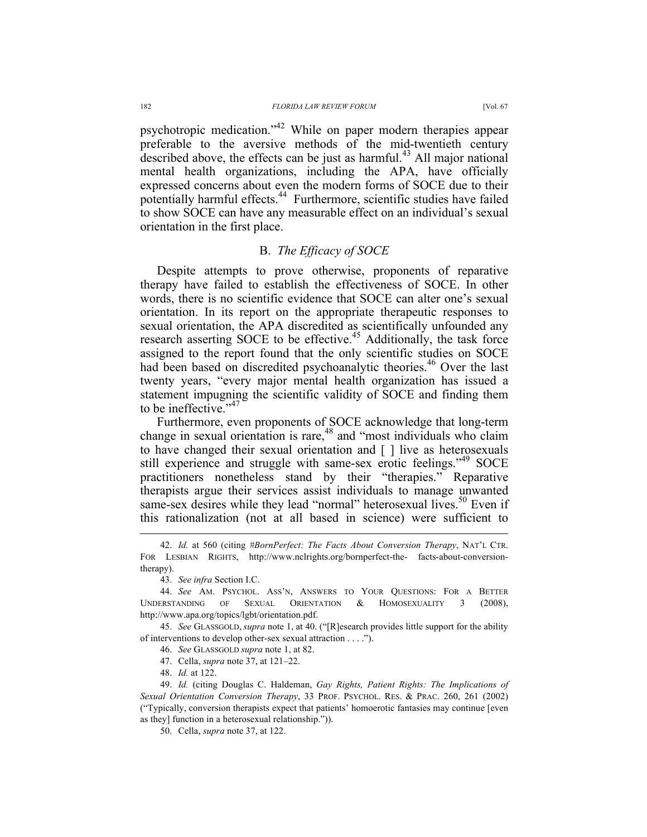psychotropic medication."<sup>42</sup> While on paper modern therapies appear preferable to the aversive methods of the mid-twentieth century described above, the effects can be just as harmful.<sup>43</sup> All major national mental health organizations, including the APA, have officially expressed concerns about even the modern forms of SOCE due to their potentially harmful effects.44 Furthermore, scientific studies have failed to show SOCE can have any measurable effect on an individual's sexual orientation in the first place.

### B. *The Efficacy of SOCE*

Despite attempts to prove otherwise, proponents of reparative therapy have failed to establish the effectiveness of SOCE. In other words, there is no scientific evidence that SOCE can alter one's sexual orientation. In its report on the appropriate therapeutic responses to sexual orientation, the APA discredited as scientifically unfounded any research asserting SOCE to be effective.<sup>45</sup> Additionally, the task force assigned to the report found that the only scientific studies on SOCE had been based on discredited psychoanalytic theories.<sup>46</sup> Over the last twenty years, "every major mental health organization has issued a statement impugning the scientific validity of SOCE and finding them to be ineffective."<sup>47</sup>

Furthermore, even proponents of SOCE acknowledge that long-term change in sexual orientation is rare, $48$  and "most individuals who claim to have changed their sexual orientation and [ ] live as heterosexuals still experience and struggle with same-sex erotic feelings."<sup>49</sup> SOCE practitioners nonetheless stand by their "therapies." Reparative therapists argue their services assist individuals to manage unwanted same-sex desires while they lead "normal" heterosexual lives.<sup>50</sup> Even if this rationalization (not at all based in science) were sufficient to

45. *See* GLASSGOLD, *supra* note 1, at 40. ("[R]esearch provides little support for the ability of interventions to develop other-sex sexual attraction . . . .").

46. *See* GLASSGOLD *supra* note 1, at 82.

47. Cella, *supra* note 37, at 121–22.

48. *Id.* at 122.

50. Cella, *supra* note 37, at 122.

 <sup>42.</sup> *Id.* at 560 (citing *#BornPerfect: The Facts About Conversion Therapy*, NAT'L CTR. FOR LESBIAN RIGHTS, http://www.nclrights.org/bornperfect-the- facts-about-conversiontherapy).

<sup>43.</sup> *See infra* Section I.C.

<sup>44.</sup> *See* AM. PSYCHOL. ASS'N, ANSWERS TO YOUR QUESTIONS: FOR A BETTER UNDERSTANDING OF SEXUAL ORIENTATION & HOMOSEXUALITY 3 (2008), http://www.apa.org/topics/lgbt/orientation.pdf.

<sup>49.</sup> *Id.* (citing Douglas C. Haldeman, *Gay Rights, Patient Rights: The Implications of Sexual Orientation Conversion Therapy*, 33 PROF. PSYCHOL. RES. & PRAC. 260, 261 (2002) ("Typically, conversion therapists expect that patients' homoerotic fantasies may continue [even as they] function in a heterosexual relationship.")).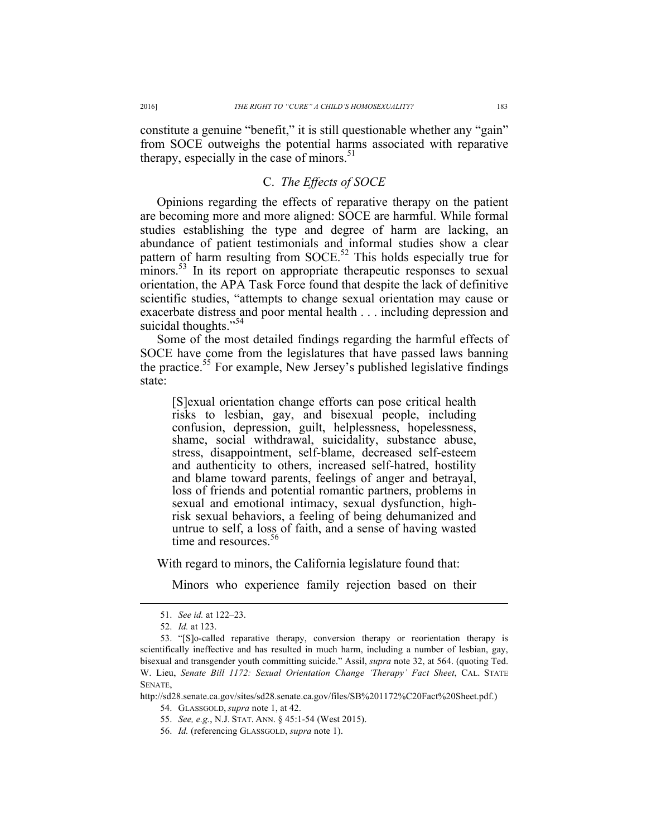constitute a genuine "benefit," it is still questionable whether any "gain" from SOCE outweighs the potential harms associated with reparative therapy, especially in the case of minors. $51$ 

### C. *The Effects of SOCE*

Opinions regarding the effects of reparative therapy on the patient are becoming more and more aligned: SOCE are harmful. While formal studies establishing the type and degree of harm are lacking, an abundance of patient testimonials and informal studies show a clear pattern of harm resulting from  $SOCE$ <sup>52</sup> This holds especially true for minors.<sup>53</sup> In its report on appropriate therapeutic responses to sexual orientation, the APA Task Force found that despite the lack of definitive scientific studies, "attempts to change sexual orientation may cause or exacerbate distress and poor mental health . . . including depression and suicidal thoughts."<sup>54</sup>

Some of the most detailed findings regarding the harmful effects of SOCE have come from the legislatures that have passed laws banning the practice.<sup>55</sup> For example, New Jersey's published legislative findings state:

[S]exual orientation change efforts can pose critical health risks to lesbian, gay, and bisexual people, including confusion, depression, guilt, helplessness, hopelessness, shame, social withdrawal, suicidality, substance abuse, stress, disappointment, self-blame, decreased self-esteem and authenticity to others, increased self-hatred, hostility and blame toward parents, feelings of anger and betrayal, loss of friends and potential romantic partners, problems in sexual and emotional intimacy, sexual dysfunction, high-<br>risk sexual behaviors, a feeling of being dehumanized and untrue to self, a loss of faith, and a sense of having wasted time and resources.<sup>56</sup>

With regard to minors, the California legislature found that:

Minors who experience family rejection based on their

 <sup>51.</sup> *See id.* at 122–23.

<sup>52.</sup> *Id.* at 123.

<sup>53.</sup> "[S]o-called reparative therapy, conversion therapy or reorientation therapy is scientifically ineffective and has resulted in much harm, including a number of lesbian, gay, bisexual and transgender youth committing suicide." Assil, *supra* note 32, at 564. (quoting Ted. W. Lieu, *Senate Bill 1172: Sexual Orientation Change 'Therapy' Fact Sheet*, CAL. STATE **SENATE** 

http://sd28.senate.ca.gov/sites/sd28.senate.ca.gov/files/SB%201172%C20Fact%20Sheet.pdf.) 54. GLASSGOLD, *supra* note 1, at 42.

<sup>55.</sup> *See, e.g.*, N.J. STAT. ANN. § 45:1-54 (West 2015).

<sup>56.</sup> *Id.* (referencing GLASSGOLD, *supra* note 1).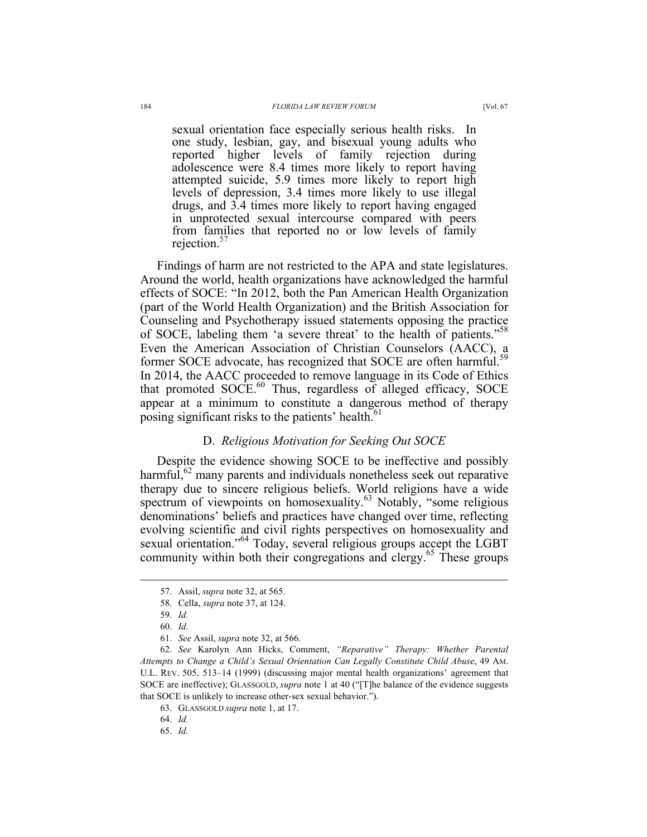sexual orientation face especially serious health risks. In one study, lesbian, gay, and bisexual young adults who reported higher levels of family rejection during adolescence were 8.4 times more likely to report having attempted suicide, 5.9 times more likely to report high levels of depression, 3.4 times more likely to use illegal drugs, and 3.4 times more likely to report having engaged in unprotected sexual intercourse compared with peers from families that reported no or low levels of family rejection.<sup>57</sup>

Findings of harm are not restricted to the APA and state legislatures. Around the world, health organizations have acknowledged the harmful effects of SOCE: "In 2012, both the Pan American Health Organization (part of the World Health Organization) and the British Association for Counseling and Psychotherapy issued statements opposing the practice of SOCE, labeling them 'a severe threat' to the health of patients."<sup>58</sup> Even the American Association of Christian Counselors (AACC), a former SOCE advocate, has recognized that SOCE are often harmful.<sup>59</sup> In 2014, the AACC proceeded to remove language in its Code of Ethics that promoted  $SOCE<sup>60</sup>$ . Thus, regardless of alleged efficacy,  $SOCE$ appear at a minimum to constitute a dangerous method of therapy posing significant risks to the patients' health.<sup>61</sup>

### D. *Religious Motivation for Seeking Out SOCE*

Despite the evidence showing SOCE to be ineffective and possibly harmful, $62$  many parents and individuals nonetheless seek out reparative therapy due to sincere religious beliefs. World religions have a wide spectrum of viewpoints on homosexuality.<sup>63</sup> Notably, "some religious denominations' beliefs and practices have changed over time, reflecting evolving scientific and civil rights perspectives on homosexuality and sexual orientation."<sup>64</sup> Today, several religious groups accept the LGBT community within both their congregations and clergy.<sup>65</sup> These groups

 <sup>57.</sup> Assil, *supra* note 32, at 565.

<sup>58.</sup> Cella, *supra* note 37, at 124.

<sup>59.</sup> *Id.*

<sup>60.</sup> *Id*.

<sup>61.</sup> *See* Assil, *supra* note 32, at 566.

<sup>62.</sup> *See* Karolyn Ann Hicks, Comment, *"Reparative" Therapy: Whether Parental Attempts to Change a Child's Sexual Orientation Can Legally Constitute Child Abuse*, 49 AM. U.L. REV. 505, 513–14 (1999) (discussing major mental health organizations' agreement that SOCE are ineffective); GLASSGOLD, *supra* note 1 at 40 ("[T]he balance of the evidence suggests that SOCE is unlikely to increase other-sex sexual behavior.").

<sup>63.</sup> GLASSGOLD *supra* note 1, at 17.

<sup>64.</sup> *Id.*

<sup>65.</sup> *Id.*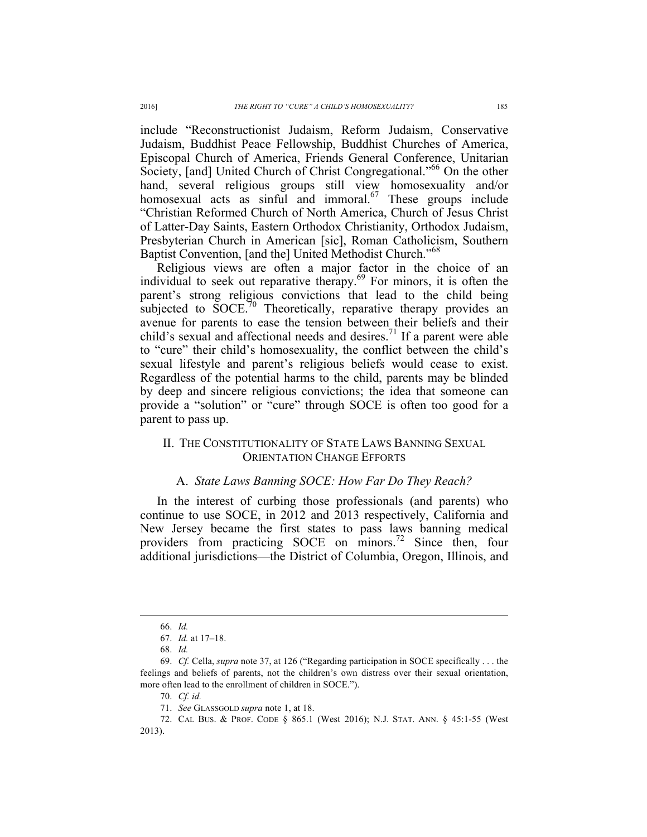include "Reconstructionist Judaism, Reform Judaism, Conservative Judaism, Buddhist Peace Fellowship, Buddhist Churches of America, Episcopal Church of America, Friends General Conference, Unitarian Society, [and] United Church of Christ Congregational."<sup>66</sup> On the other hand, several religious groups still view homosexuality and/or homosexual acts as sinful and immoral. $67$  These groups include "Christian Reformed Church of North America, Church of Jesus Christ of Latter-Day Saints, Eastern Orthodox Christianity, Orthodox Judaism, Presbyterian Church in American [sic], Roman Catholicism, Southern Baptist Convention, [and the] United Methodist Church."68

Religious views are often a major factor in the choice of an individual to seek out reparative therapy.<sup>69</sup> For minors, it is often the parent's strong religious convictions that lead to the child being subjected to  $SOCE$ <sup>70</sup> Theoretically, reparative therapy provides an avenue for parents to ease the tension between their beliefs and their child's sexual and affectional needs and desires.<sup>71</sup> If a parent were able to "cure" their child's homosexuality, the conflict between the child's sexual lifestyle and parent's religious beliefs would cease to exist. Regardless of the potential harms to the child, parents may be blinded by deep and sincere religious convictions; the idea that someone can provide a "solution" or "cure" through SOCE is often too good for a parent to pass up.

## II. THE CONSTITUTIONALITY OF STATE LAWS BANNING SEXUAL ORIENTATION CHANGE EFFORTS

#### A. *State Laws Banning SOCE: How Far Do They Reach?*

In the interest of curbing those professionals (and parents) who continue to use SOCE, in 2012 and 2013 respectively, California and New Jersey became the first states to pass laws banning medical providers from practicing SOCE on minors.<sup>72</sup> Since then, four additional jurisdictions—the District of Columbia, Oregon, Illinois, and

 <sup>66.</sup> *Id.*

<sup>67.</sup> *Id.* at 17–18.

<sup>68.</sup> *Id.*

<sup>69.</sup> *Cf.* Cella, *supra* note 37, at 126 ("Regarding participation in SOCE specifically . . . the feelings and beliefs of parents, not the children's own distress over their sexual orientation, more often lead to the enrollment of children in SOCE.").

<sup>70.</sup> *Cf. id.*

<sup>71.</sup> *See* GLASSGOLD *supra* note 1, at 18.

<sup>72.</sup> CAL BUS. & PROF. CODE § 865.1 (West 2016); N.J. STAT. ANN. § 45:1-55 (West 2013).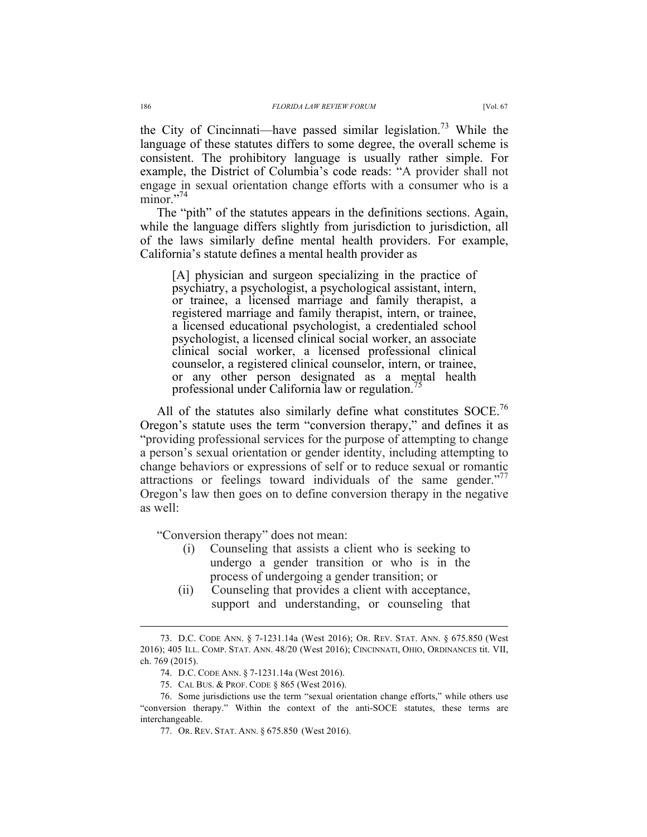the City of Cincinnati—have passed similar legislation.<sup>73</sup> While the language of these statutes differs to some degree, the overall scheme is consistent. The prohibitory language is usually rather simple. For example, the District of Columbia's code reads: "A provider shall not engage in sexual orientation change efforts with a consumer who is a minor."<sup>74</sup>

The "pith" of the statutes appears in the definitions sections. Again, while the language differs slightly from jurisdiction to jurisdiction, all of the laws similarly define mental health providers. For example, California's statute defines a mental health provider as

[A] physician and surgeon specializing in the practice of psychiatry, a psychologist, a psychological assistant, intern, or trainee, a licensed marriage and family therapist, a registered marriage and family therapist, intern, or trainee, a licensed educational psychologist, a credentialed school psychologist, a licensed clinical social worker, an associate clinical social worker, a licensed professional clinical counselor, a registered clinical counselor, intern, or trainee, or any other person designated as a mental health professional under California law or regulation.<sup>75</sup>

All of the statutes also similarly define what constitutes  $SOCE$ .<sup>76</sup> Oregon's statute uses the term "conversion therapy," and defines it as "providing professional services for the purpose of attempting to change a person's sexual orientation or gender identity, including attempting to change behaviors or expressions of self or to reduce sexual or romantic attractions or feelings toward individuals of the same gender."<sup>77</sup> Oregon's law then goes on to define conversion therapy in the negative as well:

"Conversion therapy" does not mean:

- (i) Counseling that assists a client who is seeking to undergo a gender transition or who is in the process of undergoing a gender transition; or
- (ii) Counseling that provides a client with acceptance, support and understanding, or counseling that

 <sup>73.</sup> D.C. CODE ANN. § 7-1231.14a (West 2016); OR. REV. STAT. ANN. § 675.850 (West 2016); 405 ILL. COMP. STAT. ANN. 48/20 (West 2016); CINCINNATI, OHIO, ORDINANCES tit. VII, ch. 769 (2015).

<sup>74.</sup> D.C. CODE ANN. § 7-1231.14a (West 2016).

<sup>75.</sup> CAL BUS. & PROF. CODE § 865 (West 2016).

<sup>76.</sup> Some jurisdictions use the term "sexual orientation change efforts," while others use "conversion therapy." Within the context of the anti-SOCE statutes, these terms are interchangeable.

<sup>77.</sup> OR. REV. STAT. ANN. § 675.850 (West 2016).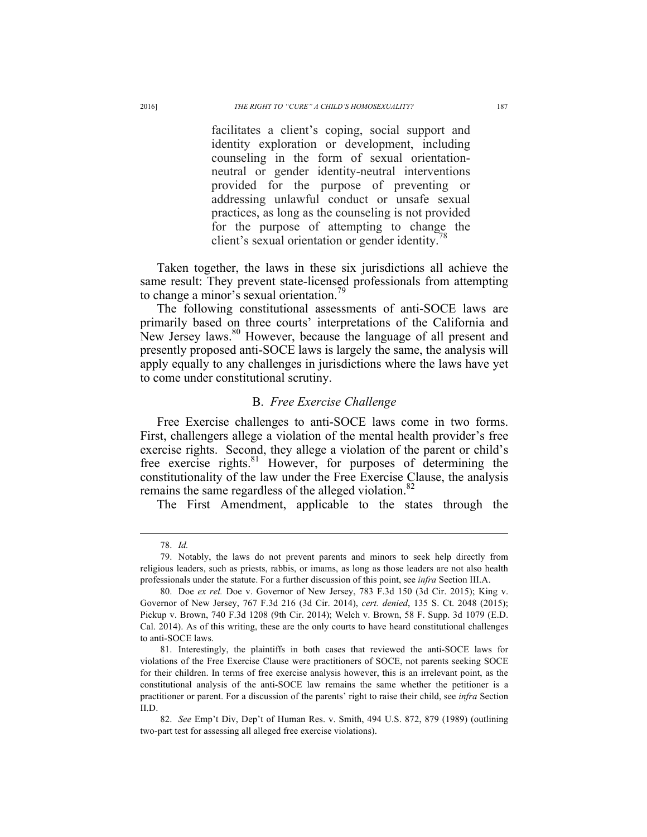facilitates a client's coping, social support and identity exploration or development, including counseling in the form of sexual orientationneutral or gender identity-neutral interventions provided for the purpose of preventing or addressing unlawful conduct or unsafe sexual practices, as long as the counseling is not provided for the purpose of attempting to change the client's sexual orientation or gender identity.

Taken together, the laws in these six jurisdictions all achieve the same result: They prevent state-licensed professionals from attempting to change a minor's sexual orientation.<sup>79</sup>

The following constitutional assessments of anti-SOCE laws are primarily based on three courts' interpretations of the California and New Jersey laws.<sup>80</sup> However, because the language of all present and presently proposed anti-SOCE laws is largely the same, the analysis will apply equally to any challenges in jurisdictions where the laws have yet to come under constitutional scrutiny.

#### B. *Free Exercise Challenge*

Free Exercise challenges to anti-SOCE laws come in two forms. First, challengers allege a violation of the mental health provider's free exercise rights. Second, they allege a violation of the parent or child's free exercise rights.<sup>81</sup> However, for purposes of determining the constitutionality of the law under the Free Exercise Clause, the analysis remains the same regardless of the alleged violation. $82$ 

The First Amendment, applicable to the states through the

 <sup>78.</sup> *Id.*

<sup>79.</sup> Notably, the laws do not prevent parents and minors to seek help directly from religious leaders, such as priests, rabbis, or imams, as long as those leaders are not also health professionals under the statute. For a further discussion of this point, see *infra* Section III.A.

<sup>80.</sup> Doe *ex rel.* Doe v. Governor of New Jersey, 783 F.3d 150 (3d Cir. 2015); King v. Governor of New Jersey, 767 F.3d 216 (3d Cir. 2014), *cert. denied*, 135 S. Ct. 2048 (2015); Pickup v. Brown, 740 F.3d 1208 (9th Cir. 2014); Welch v. Brown, 58 F. Supp. 3d 1079 (E.D. Cal. 2014). As of this writing, these are the only courts to have heard constitutional challenges to anti-SOCE laws.

<sup>81.</sup> Interestingly, the plaintiffs in both cases that reviewed the anti-SOCE laws for violations of the Free Exercise Clause were practitioners of SOCE, not parents seeking SOCE for their children. In terms of free exercise analysis however, this is an irrelevant point, as the constitutional analysis of the anti-SOCE law remains the same whether the petitioner is a practitioner or parent. For a discussion of the parents' right to raise their child, see *infra* Section II.D.

<sup>82.</sup> *See* Emp't Div, Dep't of Human Res. v. Smith, 494 U.S. 872, 879 (1989) (outlining two-part test for assessing all alleged free exercise violations).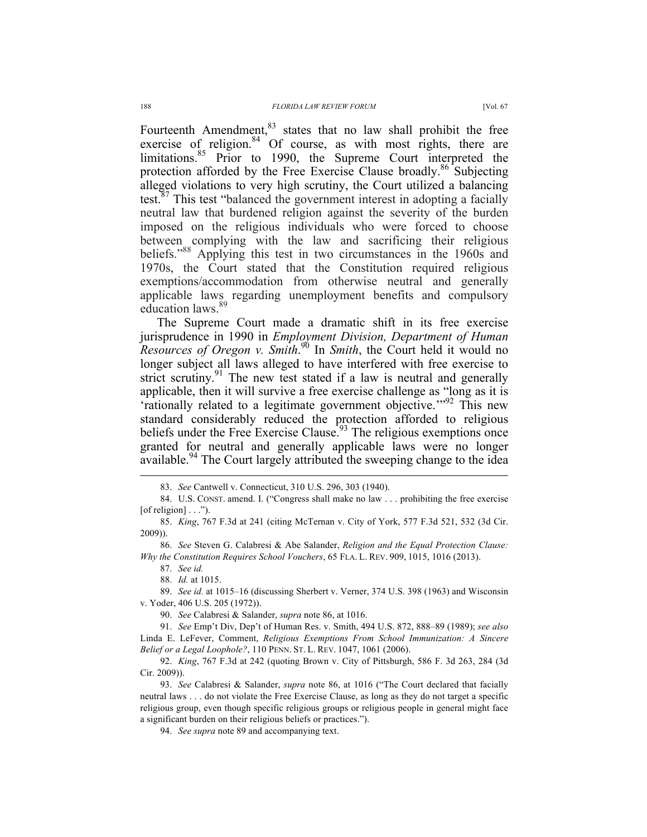Fourteenth Amendment, <sup>83</sup> states that no law shall prohibit the free exercise of religion. $84 \overline{)}$  Of course, as with most rights, there are limitations.<sup>85</sup> Prior to 1990, the Supreme Court interpreted the protection afforded by the Free Exercise Clause broadly.<sup>86</sup> Subjecting alleged violations to very high scrutiny, the Court utilized a balancing test.<sup>87</sup> This test "balanced the government interest in adopting a facially neutral law that burdened religion against the severity of the burden imposed on the religious individuals who were forced to choose between complying with the law and sacrificing their religious beliefs."<sup>88</sup> Applying this test in two circumstances in the 1960s and 1970s, the Court stated that the Constitution required religious exemptions/accommodation from otherwise neutral and generally applicable laws regarding unemployment benefits and compulsory education laws.<sup>89</sup>

The Supreme Court made a dramatic shift in its free exercise jurisprudence in 1990 in *Employment Division, Department of Human Resources of Oregon v. Smith*. <sup>90</sup> In *Smith*, the Court held it would no longer subject all laws alleged to have interfered with free exercise to strict scrutiny.<sup>91</sup> The new test stated if a law is neutral and generally applicable, then it will survive a free exercise challenge as "long as it is 'rationally related to a legitimate government objective.'" <sup>92</sup> This new standard considerably reduced the protection afforded to religious beliefs under the Free Exercise Clause.<sup>93</sup> The religious exemptions once granted for neutral and generally applicable laws were no longer available.<sup>94</sup> The Court largely attributed the sweeping change to the idea

87. *See id.*

89. *See id.* at 1015–16 (discussing Sherbert v. Verner, 374 U.S. 398 (1963) and Wisconsin v. Yoder, 406 U.S. 205 (1972)).

90. *See* Calabresi & Salander, *supra* note 86, at 1016.

 <sup>83.</sup> *See* Cantwell v. Connecticut, 310 U.S. 296, 303 (1940).

<sup>84.</sup> U.S. CONST. amend. I. ("Congress shall make no law . . . prohibiting the free exercise  $[of$  religion $] \dots$ ").

<sup>85.</sup> *King*, 767 F.3d at 241 (citing McTernan v. City of York, 577 F.3d 521, 532 (3d Cir. 2009)).

<sup>86.</sup> *See* Steven G. Calabresi & Abe Salander, *Religion and the Equal Protection Clause: Why the Constitution Requires School Vouchers*, 65 FLA. L. REV. 909, 1015, 1016 (2013).

<sup>88.</sup> *Id.* at 1015.

<sup>91.</sup> *See* Emp't Div, Dep't of Human Res. v. Smith, 494 U.S. 872, 888–89 (1989); *see also* Linda E. LeFever, Comment, *Religious Exemptions From School Immunization: A Sincere Belief or a Legal Loophole?*, 110 PENN. ST. L. REV. 1047, 1061 (2006).

<sup>92.</sup> *King*, 767 F.3d at 242 (quoting Brown v. City of Pittsburgh, 586 F. 3d 263, 284 (3d Cir. 2009)).

<sup>93.</sup> *See* Calabresi & Salander, *supra* note 86, at 1016 ("The Court declared that facially neutral laws . . . do not violate the Free Exercise Clause, as long as they do not target a specific religious group, even though specific religious groups or religious people in general might face a significant burden on their religious beliefs or practices.").

<sup>94.</sup> *See supra* note 89 and accompanying text.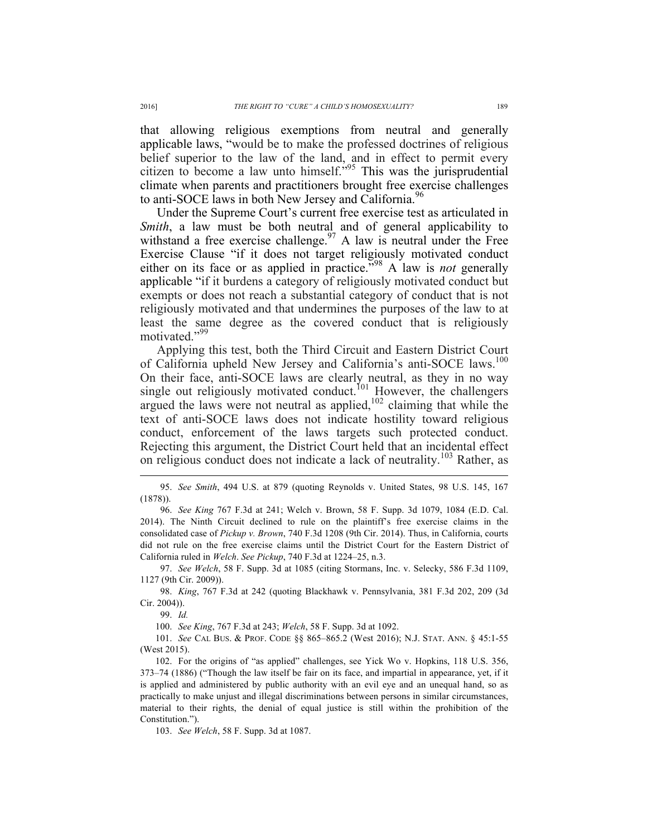that allowing religious exemptions from neutral and generally applicable laws, "would be to make the professed doctrines of religious belief superior to the law of the land, and in effect to permit every citizen to become a law unto himself." <sup>95</sup> This was the jurisprudential climate when parents and practitioners brought free exercise challenges to anti-SOCE laws in both New Jersey and California.<sup>96</sup>

Under the Supreme Court's current free exercise test as articulated in *Smith*, a law must be both neutral and of general applicability to withstand a free exercise challenge.<sup>97</sup> A law is neutral under the Free Exercise Clause "if it does not target religiously motivated conduct either on its face or as applied in practice." <sup>98</sup> A law is *not* generally applicable "if it burdens a category of religiously motivated conduct but exempts or does not reach a substantial category of conduct that is not religiously motivated and that undermines the purposes of the law to at least the same degree as the covered conduct that is religiously motivated."<sup>99</sup>

Applying this test, both the Third Circuit and Eastern District Court of California upheld New Jersey and California's anti-SOCE laws.<sup>100</sup> On their face, anti-SOCE laws are clearly neutral, as they in no way single out religiously motivated conduct.<sup>101</sup> However, the challengers argued the laws were not neutral as applied,  $102$  claiming that while the text of anti-SOCE laws does not indicate hostility toward religious conduct, enforcement of the laws targets such protected conduct. Rejecting this argument, the District Court held that an incidental effect on religious conduct does not indicate a lack of neutrality.<sup>103</sup> Rather, as

97. *See Welch*, 58 F. Supp. 3d at 1085 (citing Stormans, Inc. v. Selecky, 586 F.3d 1109, 1127 (9th Cir. 2009)).

98. *King*, 767 F.3d at 242 (quoting Blackhawk v. Pennsylvania, 381 F.3d 202, 209 (3d Cir. 2004)).

99. *Id.*

100. *See King*, 767 F.3d at 243; *Welch*, 58 F. Supp. 3d at 1092.

101. *See* CAL BUS. & PROF. CODE §§ 865–865.2 (West 2016); N.J. STAT. ANN. § 45:1-55 (West 2015).

102. For the origins of "as applied" challenges, see Yick Wo v. Hopkins, 118 U.S. 356, 373–74 (1886) ("Though the law itself be fair on its face, and impartial in appearance, yet, if it is applied and administered by public authority with an evil eye and an unequal hand, so as practically to make unjust and illegal discriminations between persons in similar circumstances, material to their rights, the denial of equal justice is still within the prohibition of the Constitution.").

103. *See Welch*, 58 F. Supp. 3d at 1087.

 <sup>95.</sup> *See Smith*, 494 U.S. at 879 (quoting Reynolds v. United States, 98 U.S. 145, 167 (1878)).

<sup>96.</sup> *See King* 767 F.3d at 241; Welch v. Brown, 58 F. Supp. 3d 1079, 1084 (E.D. Cal. 2014). The Ninth Circuit declined to rule on the plaintiff's free exercise claims in the consolidated case of *Pickup v. Brown*, 740 F.3d 1208 (9th Cir. 2014). Thus, in California, courts did not rule on the free exercise claims until the District Court for the Eastern District of California ruled in *Welch*. *See Pickup*, 740 F.3d at 1224–25, n.3.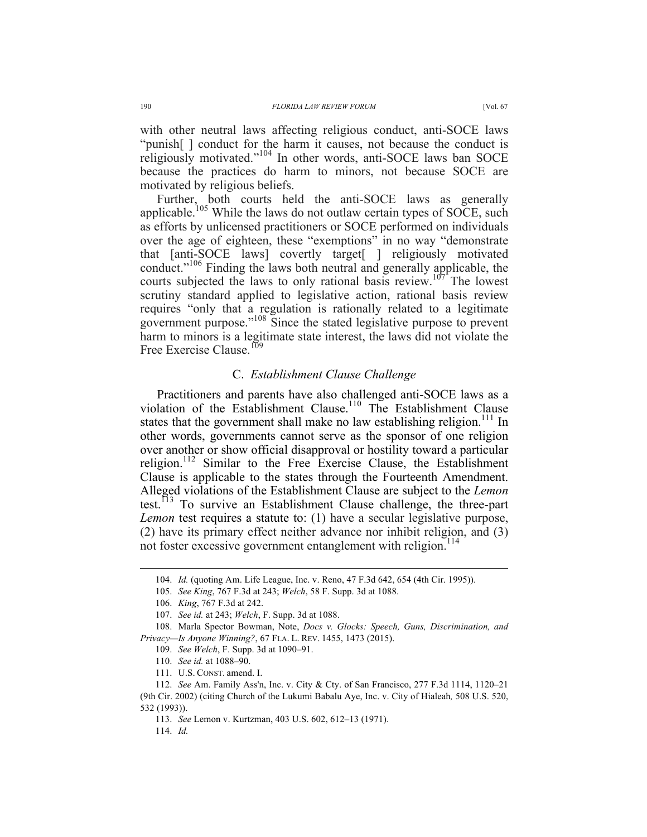with other neutral laws affecting religious conduct, anti-SOCE laws "punish[ ] conduct for the harm it causes, not because the conduct is

religiously motivated."<sup>104</sup> In other words, anti-SOCE laws ban SOCE because the practices do harm to minors, not because SOCE are motivated by religious beliefs. Further, both courts held the anti-SOCE laws as generally applicable.<sup>105</sup> While the laws do not outlaw certain types of SOCE, such

as efforts by unlicensed practitioners or SOCE performed on individuals over the age of eighteen, these "exemptions" in no way "demonstrate that [anti-SOCE laws] covertly target[ ] religiously motivated conduct." <sup>106</sup> Finding the laws both neutral and generally applicable, the courts subjected the laws to only rational basis review.<sup>107</sup> The lowest scrutiny standard applied to legislative action, rational basis review requires "only that a regulation is rationally related to a legitimate government purpose." <sup>108</sup> Since the stated legislative purpose to prevent harm to minors is a legitimate state interest, the laws did not violate the Free Exercise Clause.<sup>109</sup>

### C. *Establishment Clause Challenge*

Practitioners and parents have also challenged anti-SOCE laws as a violation of the Establishment Clause.<sup>110</sup> The Establishment Clause states that the government shall make no law establishing religion.<sup>111</sup> In other words, governments cannot serve as the sponsor of one religion over another or show official disapproval or hostility toward a particular religion.<sup>112</sup> Similar to the Free Exercise Clause, the Establishment Clause is applicable to the states through the Fourteenth Amendment. Alleged violations of the Establishment Clause are subject to the *Lemon* test.<sup> $\overline{13}$ </sup> To survive an Establishment Clause challenge, the three-part *Lemon* test requires a statute to: (1) have a secular legislative purpose, (2) have its primary effect neither advance nor inhibit religion, and (3) not foster excessive government entanglement with religion.<sup>114</sup>

114. *Id.*

 <sup>104.</sup> *Id.* (quoting Am. Life League, Inc. v. Reno, 47 F.3d 642, 654 (4th Cir. 1995)).

<sup>105.</sup> *See King*, 767 F.3d at 243; *Welch*, 58 F. Supp. 3d at 1088.

<sup>106.</sup> *King*, 767 F.3d at 242.

<sup>107.</sup> *See id.* at 243; *Welch*, F. Supp. 3d at 1088.

<sup>108.</sup> Marla Spector Bowman, Note, *Docs v. Glocks: Speech, Guns, Discrimination, and Privacy—Is Anyone Winning?*, 67 FLA. L. REV. 1455, 1473 (2015).

<sup>109.</sup> *See Welch*, F. Supp. 3d at 1090–91.

<sup>110.</sup> *See id.* at 1088–90.

<sup>111.</sup> U.S. CONST. amend. I.

<sup>112.</sup> *See* Am. Family Ass'n, Inc. v. City & Cty. of San Francisco, 277 F.3d 1114, 1120–21 (9th Cir. 2002) (citing Church of the Lukumi Babalu Aye, Inc. v. City of Hialeah*,* 508 U.S. 520, 532 (1993)).

<sup>113.</sup> *See* Lemon v. Kurtzman, 403 U.S. 602, 612–13 (1971).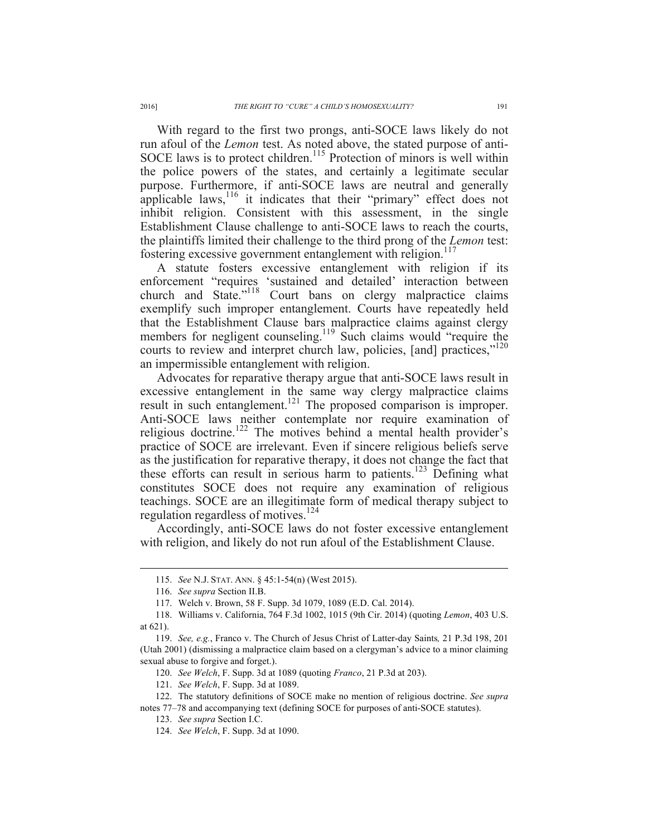With regard to the first two prongs, anti-SOCE laws likely do not run afoul of the *Lemon* test. As noted above, the stated purpose of anti-SOCE laws is to protect children.<sup>115</sup> Protection of minors is well within the police powers of the states, and certainly a legitimate secular purpose. Furthermore, if anti-SOCE laws are neutral and generally applicable laws,<sup>116</sup> it indicates that their "primary" effect does not inhibit religion. Consistent with this assessment, in the single Establishment Clause challenge to anti-SOCE laws to reach the courts, the plaintiffs limited their challenge to the third prong of the *Lemon* test: fostering excessive government entanglement with religion.<sup>117</sup>

A statute fosters excessive entanglement with religion if its enforcement "requires 'sustained and detailed' interaction between church and State."<sup>118</sup> Court bans on clergy malpractice claims exemplify such improper entanglement. Courts have repeatedly held that the Establishment Clause bars malpractice claims against clergy members for negligent counseling.<sup>119</sup> Such claims would "require the courts to review and interpret church law, policies, [and] practices,"<sup>120</sup> an impermissible entanglement with religion.

Advocates for reparative therapy argue that anti-SOCE laws result in excessive entanglement in the same way clergy malpractice claims result in such entanglement.<sup>121</sup> The proposed comparison is improper. Anti-SOCE laws neither contemplate nor require examination of religious doctrine.<sup>122</sup> The motives behind a mental health provider's practice of SOCE are irrelevant. Even if sincere religious beliefs serve as the justification for reparative therapy, it does not change the fact that these efforts can result in serious harm to patients.<sup>123</sup> Defining what constitutes SOCE does not require any examination of religious teachings. SOCE are an illegitimate form of medical therapy subject to regulation regardless of motives.<sup>124</sup>

Accordingly, anti-SOCE laws do not foster excessive entanglement with religion, and likely do not run afoul of the Establishment Clause.

121. *See Welch*, F. Supp. 3d at 1089.

 <sup>115.</sup> *See* N.J. STAT. ANN. § 45:1-54(n) (West 2015).

<sup>116.</sup> *See supra* Section II.B.

<sup>117.</sup> Welch v. Brown, 58 F. Supp. 3d 1079, 1089 (E.D. Cal. 2014).

<sup>118.</sup> Williams v. California, 764 F.3d 1002, 1015 (9th Cir. 2014) (quoting *Lemon*, 403 U.S. at 621).

<sup>119.</sup> *See, e.g.*, Franco v. The Church of Jesus Christ of Latter-day Saints*,* 21 P.3d 198, 201 (Utah 2001) (dismissing a malpractice claim based on a clergyman's advice to a minor claiming sexual abuse to forgive and forget.).

<sup>120.</sup> *See Welch*, F. Supp. 3d at 1089 (quoting *Franco*, 21 P.3d at 203).

<sup>122.</sup> The statutory definitions of SOCE make no mention of religious doctrine. *See supra*  notes 77–78 and accompanying text (defining SOCE for purposes of anti-SOCE statutes).

<sup>123.</sup> *See supra* Section I.C.

<sup>124.</sup> *See Welch*, F. Supp. 3d at 1090.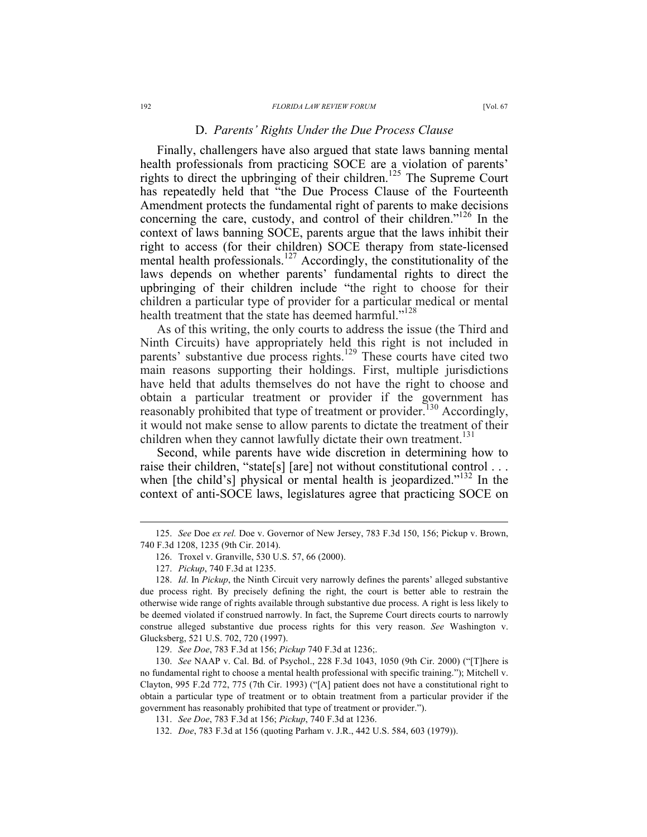Finally, challengers have also argued that state laws banning mental health professionals from practicing SOCE are a violation of parents' rights to direct the upbringing of their children.<sup>125</sup> The Supreme Court has repeatedly held that "the Due Process Clause of the Fourteenth Amendment protects the fundamental right of parents to make decisions concerning the care, custody, and control of their children." <sup>126</sup> In the context of laws banning SOCE, parents argue that the laws inhibit their right to access (for their children) SOCE therapy from state-licensed mental health professionals.<sup>127</sup> Accordingly, the constitutionality of the laws depends on whether parents' fundamental rights to direct the upbringing of their children include "the right to choose for their children a particular type of provider for a particular medical or mental health treatment that the state has deemed harmful."<sup>128</sup>

As of this writing, the only courts to address the issue (the Third and Ninth Circuits) have appropriately held this right is not included in parents' substantive due process rights.<sup>129</sup> These courts have cited two main reasons supporting their holdings. First, multiple jurisdictions have held that adults themselves do not have the right to choose and obtain a particular treatment or provider if the government has reasonably prohibited that type of treatment or provider.<sup>130</sup> Accordingly, it would not make sense to allow parents to dictate the treatment of their children when they cannot lawfully dictate their own treatment.<sup>131</sup>

Second, while parents have wide discretion in determining how to raise their children, "state[s] [are] not without constitutional control . . . when [the child's] physical or mental health is jeopardized." $132$  In the context of anti-SOCE laws, legislatures agree that practicing SOCE on

 <sup>125.</sup> *See* Doe *ex rel.* Doe v. Governor of New Jersey, 783 F.3d 150, 156; Pickup v. Brown, 740 F.3d 1208, 1235 (9th Cir. 2014).

<sup>126.</sup> Troxel v. Granville, 530 U.S. 57, 66 (2000).

<sup>127.</sup> *Pickup*, 740 F.3d at 1235.

<sup>128.</sup> *Id*. In *Pickup*, the Ninth Circuit very narrowly defines the parents' alleged substantive due process right. By precisely defining the right, the court is better able to restrain the otherwise wide range of rights available through substantive due process. A right is less likely to be deemed violated if construed narrowly. In fact, the Supreme Court directs courts to narrowly construe alleged substantive due process rights for this very reason. *See* Washington v. Glucksberg, 521 U.S. 702, 720 (1997).

<sup>129.</sup> *See Doe*, 783 F.3d at 156; *Pickup* 740 F.3d at 1236;.

<sup>130.</sup> *See* NAAP v. Cal. Bd. of Psychol., 228 F.3d 1043, 1050 (9th Cir. 2000) ("[T]here is no fundamental right to choose a mental health professional with specific training."); Mitchell v. Clayton, 995 F.2d 772, 775 (7th Cir. 1993) ("[A] patient does not have a constitutional right to obtain a particular type of treatment or to obtain treatment from a particular provider if the government has reasonably prohibited that type of treatment or provider.").

<sup>131.</sup> *See Doe*, 783 F.3d at 156; *Pickup*, 740 F.3d at 1236.

<sup>132.</sup> *Doe*, 783 F.3d at 156 (quoting Parham v. J.R., 442 U.S. 584, 603 (1979)).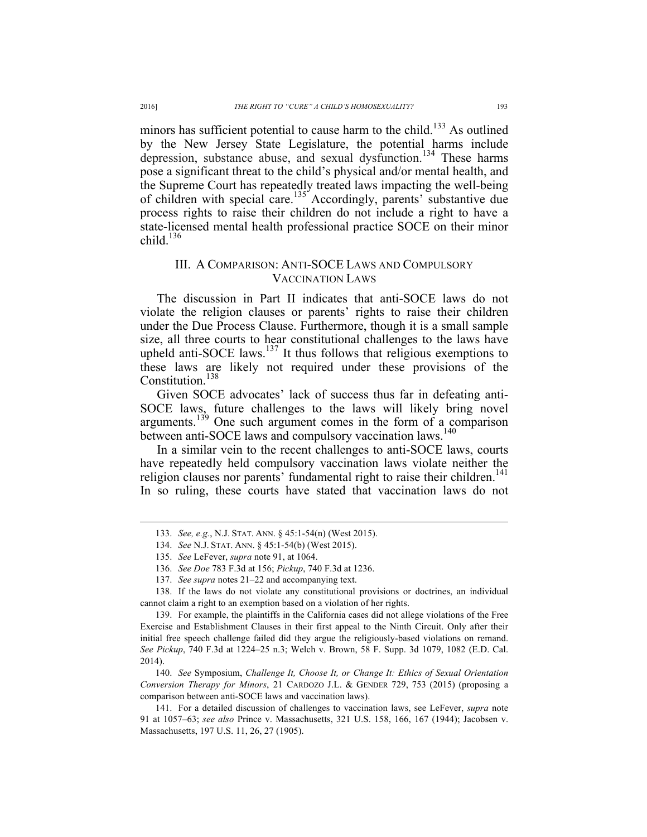minors has sufficient potential to cause harm to the child.<sup>133</sup> As outlined by the New Jersey State Legislature, the potential harms include depression, substance abuse, and sexual dysfunction.<sup>134</sup> These harms pose a significant threat to the child's physical and/or mental health, and the Supreme Court has repeatedly treated laws impacting the well-being of children with special care.<sup>135</sup> Accordingly, parents' substantive due process rights to raise their children do not include a right to have a state-licensed mental health professional practice SOCE on their minor child. $136$ 

### III. A COMPARISON: ANTI-SOCE LAWS AND COMPULSORY VACCINATION LAWS

The discussion in Part II indicates that anti-SOCE laws do not violate the religion clauses or parents' rights to raise their children under the Due Process Clause. Furthermore, though it is a small sample size, all three courts to hear constitutional challenges to the laws have upheld anti-SOCE laws. $137$  It thus follows that religious exemptions to these laws are likely not required under these provisions of the Constitution.<sup>138</sup>

Given SOCE advocates' lack of success thus far in defeating anti-SOCE laws, future challenges to the laws will likely bring novel arguments.<sup>139</sup> One such argument comes in the form of a comparison between anti-SOCE laws and compulsory vaccination laws.<sup>140</sup>

In a similar vein to the recent challenges to anti-SOCE laws, courts have repeatedly held compulsory vaccination laws violate neither the religion clauses nor parents' fundamental right to raise their children.<sup>141</sup> In so ruling, these courts have stated that vaccination laws do not

138. If the laws do not violate any constitutional provisions or doctrines, an individual cannot claim a right to an exemption based on a violation of her rights.

139. For example, the plaintiffs in the California cases did not allege violations of the Free Exercise and Establishment Clauses in their first appeal to the Ninth Circuit. Only after their initial free speech challenge failed did they argue the religiously-based violations on remand. *See Pickup*, 740 F.3d at 1224–25 n.3; Welch v. Brown, 58 F. Supp. 3d 1079, 1082 (E.D. Cal. 2014).

140. *See* Symposium, *Challenge It, Choose It, or Change It: Ethics of Sexual Orientation Conversion Therapy for Minors*, 21 CARDOZO J.L. & GENDER 729, 753 (2015) (proposing a comparison between anti-SOCE laws and vaccination laws).

141. For a detailed discussion of challenges to vaccination laws, see LeFever, *supra* note 91 at 1057–63; *see also* Prince v. Massachusetts, 321 U.S. 158, 166, 167 (1944); Jacobsen v. Massachusetts, 197 U.S. 11, 26, 27 (1905).

 <sup>133.</sup> *See, e.g.*, N.J. STAT. ANN. § 45:1-54(n) (West 2015).

<sup>134.</sup> *See* N.J. STAT. ANN. § 45:1-54(b) (West 2015).

<sup>135.</sup> *See* LeFever, *supra* note 91, at 1064.

<sup>136.</sup> *See Doe* 783 F.3d at 156; *Pickup*, 740 F.3d at 1236.

<sup>137.</sup> *See supra* notes 21–22 and accompanying text.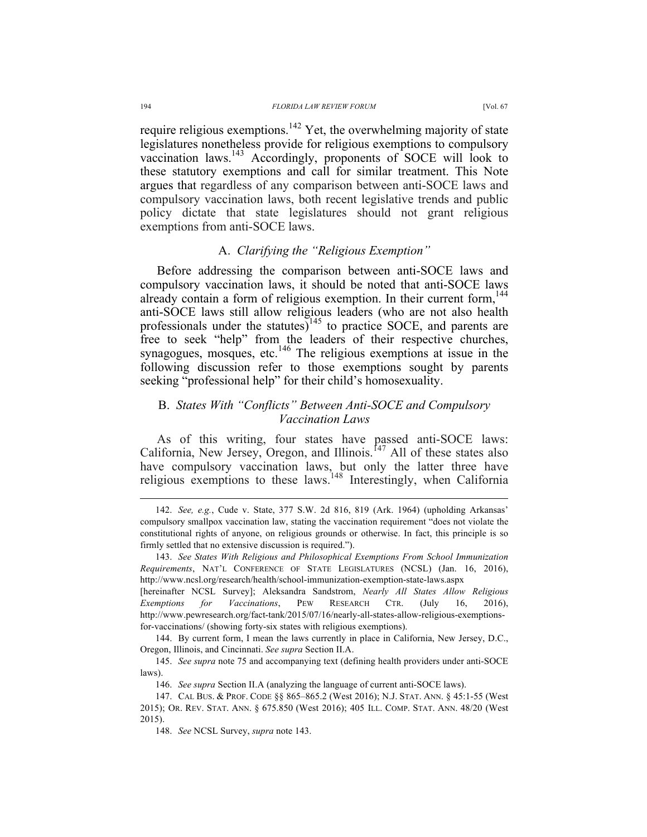require religious exemptions.<sup>142</sup> Yet, the overwhelming majority of state legislatures nonetheless provide for religious exemptions to compulsory vaccination laws.143 Accordingly, proponents of SOCE will look to these statutory exemptions and call for similar treatment. This Note argues that regardless of any comparison between anti-SOCE laws and compulsory vaccination laws, both recent legislative trends and public policy dictate that state legislatures should not grant religious exemptions from anti-SOCE laws.

### A. *Clarifying the "Religious Exemption"*

Before addressing the comparison between anti-SOCE laws and compulsory vaccination laws, it should be noted that anti-SOCE laws already contain a form of religious exemption. In their current form,  $144$ anti-SOCE laws still allow religious leaders (who are not also health professionals under the statutes)<sup>145</sup> to practice SOCE, and parents are free to seek "help" from the leaders of their respective churches, synagogues, mosques, etc.<sup>146</sup> The religious exemptions at issue in the following discussion refer to those exemptions sought by parents seeking "professional help" for their child's homosexuality.

## B. *States With "Conflicts" Between Anti-SOCE and Compulsory Vaccination Laws*

As of this writing, four states have passed anti-SOCE laws: California, New Jersey, Oregon, and Illinois.<sup>147</sup> All of these states also have compulsory vaccination laws, but only the latter three have religious exemptions to these laws.<sup>148</sup> Interestingly, when California

 <sup>142.</sup> *See, e.g.*, Cude v. State, 377 S.W. 2d 816, 819 (Ark. 1964) (upholding Arkansas' compulsory smallpox vaccination law, stating the vaccination requirement "does not violate the constitutional rights of anyone, on religious grounds or otherwise. In fact, this principle is so firmly settled that no extensive discussion is required.").

<sup>143.</sup> *See States With Religious and Philosophical Exemptions From School Immunization Requirements*, NAT'L CONFERENCE OF STATE LEGISLATURES (NCSL) (Jan. 16, 2016), http://www.ncsl.org/research/health/school-immunization-exemption-state-laws.aspx

<sup>[</sup>hereinafter NCSL Survey]; Aleksandra Sandstrom, *Nearly All States Allow Religious Exemptions for Vaccinations*, PEW RESEARCH CTR. (July 16, 2016), http://www.pewresearch.org/fact-tank/2015/07/16/nearly-all-states-allow-religious-exemptionsfor-vaccinations/ (showing forty-six states with religious exemptions).

<sup>144.</sup> By current form, I mean the laws currently in place in California, New Jersey, D.C., Oregon, Illinois, and Cincinnati. *See supra* Section II.A.

<sup>145.</sup> *See supra* note 75 and accompanying text (defining health providers under anti-SOCE laws).

<sup>146.</sup> *See supra* Section II.A (analyzing the language of current anti-SOCE laws).

<sup>147.</sup> CAL BUS. & PROF. CODE §§ 865–865.2 (West 2016); N.J. STAT. ANN. § 45:1-55 (West 2015); OR. REV. STAT. ANN. § 675.850 (West 2016); 405 ILL. COMP. STAT. ANN. 48/20 (West 2015).

<sup>148.</sup> *See* NCSL Survey, *supra* note 143.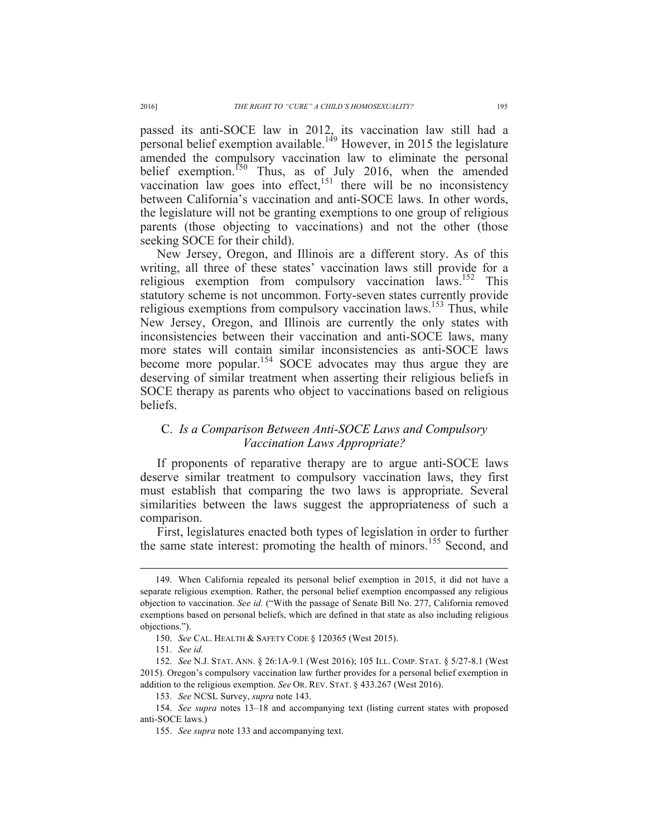passed its anti-SOCE law in 2012, its vaccination law still had a personal belief exemption available.149 However, in 2015 the legislature amended the compulsory vaccination law to eliminate the personal belief exemption.<sup>150</sup> Thus, as of July 2016, when the amended vaccination law goes into effect,  $151$  there will be no inconsistency between California's vaccination and anti-SOCE laws. In other words, the legislature will not be granting exemptions to one group of religious parents (those objecting to vaccinations) and not the other (those seeking SOCE for their child).

New Jersey, Oregon, and Illinois are a different story. As of this writing, all three of these states' vaccination laws still provide for a religious exemption from compulsory vaccination laws.<sup>152</sup> This statutory scheme is not uncommon. Forty-seven states currently provide religious exemptions from compulsory vaccination laws.<sup>153</sup> Thus, while New Jersey, Oregon, and Illinois are currently the only states with inconsistencies between their vaccination and anti-SOCE laws, many more states will contain similar inconsistencies as anti-SOCE laws become more popular.<sup>154</sup> SOCE advocates may thus argue they are deserving of similar treatment when asserting their religious beliefs in SOCE therapy as parents who object to vaccinations based on religious beliefs.

## C. *Is a Comparison Between Anti-SOCE Laws and Compulsory Vaccination Laws Appropriate?*

If proponents of reparative therapy are to argue anti-SOCE laws deserve similar treatment to compulsory vaccination laws, they first must establish that comparing the two laws is appropriate. Several similarities between the laws suggest the appropriateness of such a comparison.

First, legislatures enacted both types of legislation in order to further the same state interest: promoting the health of minors.<sup>155</sup> Second, and

 <sup>149.</sup> When California repealed its personal belief exemption in 2015, it did not have a separate religious exemption. Rather, the personal belief exemption encompassed any religious objection to vaccination. *See id.* ("With the passage of Senate Bill No. 277, California removed exemptions based on personal beliefs, which are defined in that state as also including religious objections.").

<sup>150.</sup> *See* CAL. HEALTH & SAFETY CODE § 120365 (West 2015).

<sup>151.</sup> *See id.*

<sup>152.</sup> *See* N.J. STAT. ANN. § 26:1A-9.1 (West 2016); 105 ILL. COMP. STAT. § 5/27-8.1 (West 2015). Oregon's compulsory vaccination law further provides for a personal belief exemption in addition to the religious exemption. *See* OR. REV. STAT. § 433.267 (West 2016).

<sup>153.</sup> *See* NCSL Survey, *supra* note 143.

<sup>154.</sup> *See supra* notes 13–18 and accompanying text (listing current states with proposed anti-SOCE laws.)

<sup>155.</sup> *See supra* note 133 and accompanying text.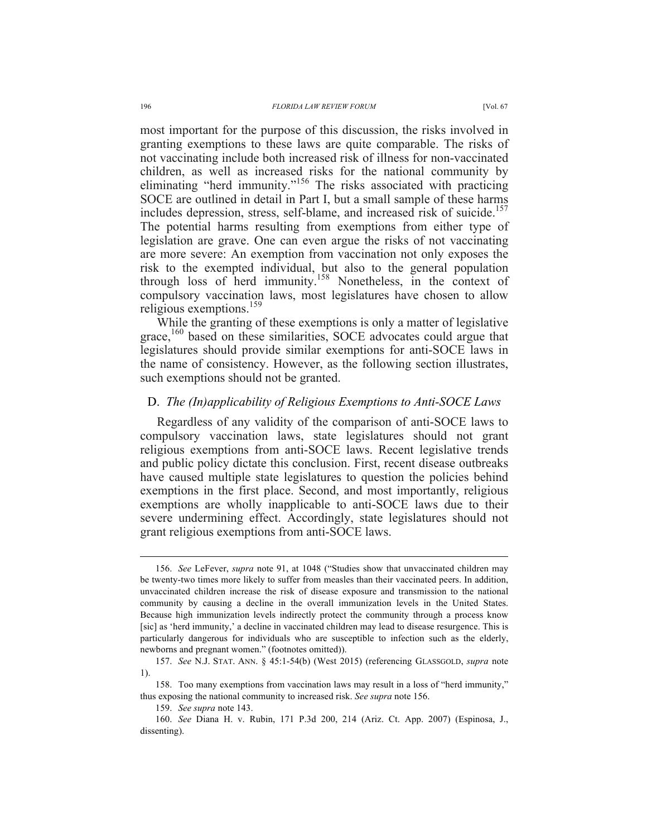most important for the purpose of this discussion, the risks involved in granting exemptions to these laws are quite comparable. The risks of not vaccinating include both increased risk of illness for non-vaccinated children, as well as increased risks for the national community by eliminating "herd immunity."<sup>156</sup> The risks associated with practicing SOCE are outlined in detail in Part I, but a small sample of these harms includes depression, stress, self-blame, and increased risk of suicide.<sup>157</sup> The potential harms resulting from exemptions from either type of legislation are grave. One can even argue the risks of not vaccinating are more severe: An exemption from vaccination not only exposes the risk to the exempted individual, but also to the general population through loss of herd immunity.<sup>158</sup> Nonetheless, in the context of compulsory vaccination laws, most legislatures have chosen to allow religious exemptions.<sup>159</sup>

While the granting of these exemptions is only a matter of legislative grace,<sup>160</sup> based on these similarities, SOCE advocates could argue that legislatures should provide similar exemptions for anti-SOCE laws in the name of consistency. However, as the following section illustrates, such exemptions should not be granted.

### D. *The (In)applicability of Religious Exemptions to Anti-SOCE Laws*

Regardless of any validity of the comparison of anti-SOCE laws to compulsory vaccination laws, state legislatures should not grant religious exemptions from anti-SOCE laws. Recent legislative trends and public policy dictate this conclusion. First, recent disease outbreaks have caused multiple state legislatures to question the policies behind exemptions in the first place. Second, and most importantly, religious exemptions are wholly inapplicable to anti-SOCE laws due to their severe undermining effect. Accordingly, state legislatures should not grant religious exemptions from anti-SOCE laws.

 <sup>156.</sup> *See* LeFever, *supra* note 91, at 1048 ("Studies show that unvaccinated children may be twenty-two times more likely to suffer from measles than their vaccinated peers. In addition, unvaccinated children increase the risk of disease exposure and transmission to the national community by causing a decline in the overall immunization levels in the United States. Because high immunization levels indirectly protect the community through a process know [sic] as 'herd immunity,' a decline in vaccinated children may lead to disease resurgence. This is particularly dangerous for individuals who are susceptible to infection such as the elderly, newborns and pregnant women." (footnotes omitted)).

<sup>157.</sup> *See* N.J. STAT. ANN. § 45:1-54(b) (West 2015) (referencing GLASSGOLD, *supra* note 1).

<sup>158.</sup> Too many exemptions from vaccination laws may result in a loss of "herd immunity," thus exposing the national community to increased risk. *See supra* note 156.

<sup>159.</sup> *See supra* note 143.

<sup>160.</sup> *See* Diana H. v. Rubin, 171 P.3d 200, 214 (Ariz. Ct. App. 2007) (Espinosa, J., dissenting).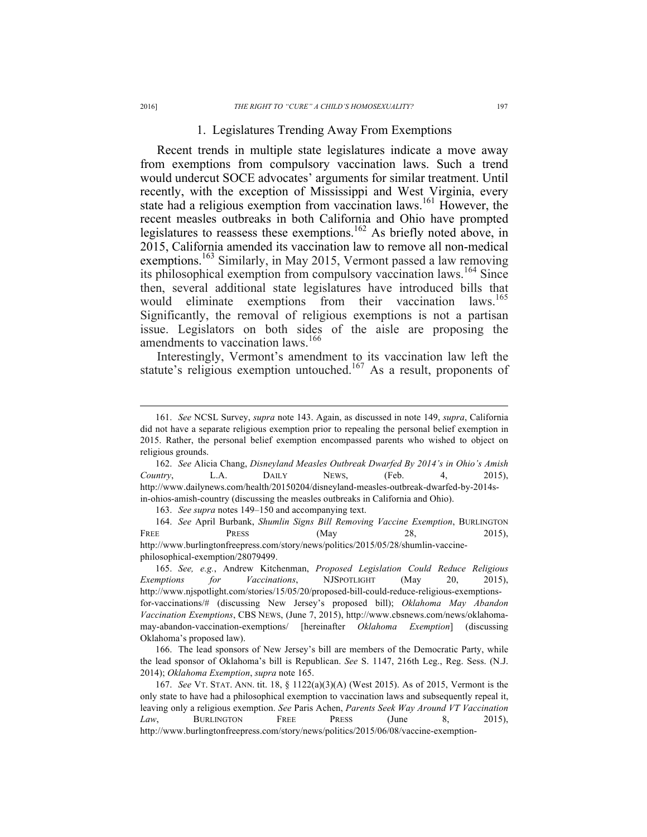#### 1. Legislatures Trending Away From Exemptions

Recent trends in multiple state legislatures indicate a move away from exemptions from compulsory vaccination laws. Such a trend would undercut SOCE advocates' arguments for similar treatment. Until recently, with the exception of Mississippi and West Virginia, every state had a religious exemption from vaccination laws.<sup>161</sup> However, the recent measles outbreaks in both California and Ohio have prompted legislatures to reassess these exemptions.<sup>162</sup> As briefly noted above, in 2015, California amended its vaccination law to remove all non-medical exemptions.<sup>163</sup> Similarly, in May 2015, Vermont passed a law removing its philosophical exemption from compulsory vaccination laws.<sup>164</sup> Since then, several additional state legislatures have introduced bills that would eliminate exemptions from their vaccination laws.<sup>165</sup> Significantly, the removal of religious exemptions is not a partisan issue. Legislators on both sides of the aisle are proposing the amendments to vaccination laws.<sup>166</sup>

Interestingly, Vermont's amendment to its vaccination law left the statute's religious exemption untouched.<sup>167</sup> As a result, proponents of

 <sup>161.</sup> *See* NCSL Survey, *supra* note 143. Again, as discussed in note 149, *supra*, California did not have a separate religious exemption prior to repealing the personal belief exemption in 2015. Rather, the personal belief exemption encompassed parents who wished to object on religious grounds.

<sup>162.</sup> *See* Alicia Chang, *Disneyland Measles Outbreak Dwarfed By 2014's in Ohio's Amish Country*, L.A. DAILY NEWS, (Feb. 4, 2015), http://www.dailynews.com/health/20150204/disneyland-measles-outbreak-dwarfed-by-2014sin-ohios-amish-country (discussing the measles outbreaks in California and Ohio).

<sup>163.</sup> *See supra* notes 149–150 and accompanying text.

<sup>164.</sup> *See* April Burbank, *Shumlin Signs Bill Removing Vaccine Exemption*, BURLINGTON FREE PRESS (May 28, 2015), http://www.burlingtonfreepress.com/story/news/politics/2015/05/28/shumlin-vaccinephilosophical-exemption/28079499.

<sup>165.</sup> *See, e.g.*, Andrew Kitchenman, *Proposed Legislation Could Reduce Religious Exemptions for Vaccinations*, NJSPOTLIGHT (May 20, 2015), http://www.njspotlight.com/stories/15/05/20/proposed-bill-could-reduce-religious-exemptionsfor-vaccinations/# (discussing New Jersey's proposed bill); *Oklahoma May Abandon Vaccination Exemptions*, CBS NEWS, (June 7, 2015), http://www.cbsnews.com/news/oklahomamay-abandon-vaccination-exemptions/ [hereinafter *Oklahoma Exemption*] (discussing Oklahoma's proposed law).

<sup>166.</sup> The lead sponsors of New Jersey's bill are members of the Democratic Party, while the lead sponsor of Oklahoma's bill is Republican. *See* S. 1147, 216th Leg., Reg. Sess. (N.J. 2014); *Oklahoma Exemption*, *supra* note 165.

<sup>167.</sup> *See* VT. STAT. ANN. tit. 18, § 1122(a)(3)(A) (West 2015). As of 2015, Vermont is the only state to have had a philosophical exemption to vaccination laws and subsequently repeal it, leaving only a religious exemption. *See* Paris Achen, *Parents Seek Way Around VT Vaccination Law*, BURLINGTON FREE PRESS (June 8, 2015), http://www.burlingtonfreepress.com/story/news/politics/2015/06/08/vaccine-exemption-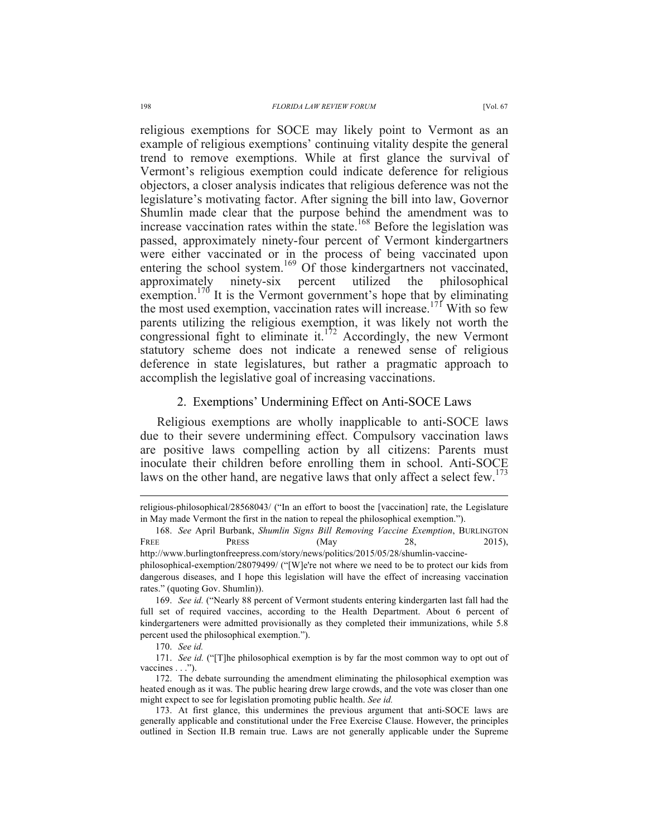religious exemptions for SOCE may likely point to Vermont as an example of religious exemptions' continuing vitality despite the general trend to remove exemptions. While at first glance the survival of Vermont's religious exemption could indicate deference for religious objectors, a closer analysis indicates that religious deference was not the legislature's motivating factor. After signing the bill into law, Governor Shumlin made clear that the purpose behind the amendment was to increase vaccination rates within the state.<sup>168</sup> Before the legislation was passed, approximately ninety-four percent of Vermont kindergartners were either vaccinated or in the process of being vaccinated upon entering the school system.<sup>169</sup> Of those kindergartners not vaccinated, approximately ninety-six percent utilized the philosophical exemption.<sup>170</sup> It is the Vermont government's hope that by eliminating the most used exemption, vaccination rates will increase.<sup>171</sup> With so few parents utilizing the religious exemption, it was likely not worth the congressional fight to eliminate it.<sup>172</sup> Accordingly, the new Vermont statutory scheme does not indicate a renewed sense of religious deference in state legislatures, but rather a pragmatic approach to accomplish the legislative goal of increasing vaccinations.

#### 2. Exemptions' Undermining Effect on Anti-SOCE Laws

Religious exemptions are wholly inapplicable to anti-SOCE laws due to their severe undermining effect. Compulsory vaccination laws are positive laws compelling action by all citizens: Parents must inoculate their children before enrolling them in school. Anti-SOCE laws on the other hand, are negative laws that only affect a select few.<sup>173</sup>

religious-philosophical/28568043/ ("In an effort to boost the [vaccination] rate, the Legislature in May made Vermont the first in the nation to repeal the philosophical exemption.").

<sup>168.</sup> *See* April Burbank, *Shumlin Signs Bill Removing Vaccine Exemption*, BURLINGTON FREE PRESS (May 28, 2015),

http://www.burlingtonfreepress.com/story/news/politics/2015/05/28/shumlin-vaccinephilosophical-exemption/28079499/ ("[W]e're not where we need to be to protect our kids from dangerous diseases, and I hope this legislation will have the effect of increasing vaccination rates." (quoting Gov. Shumlin)).

<sup>169.</sup> *See id.* ("Nearly 88 percent of Vermont students entering kindergarten last fall had the full set of required vaccines, according to the Health Department. About 6 percent of kindergarteners were admitted provisionally as they completed their immunizations, while 5.8 percent used the philosophical exemption.").

<sup>170.</sup> *See id.*

<sup>171.</sup> *See id.* ("[T]he philosophical exemption is by far the most common way to opt out of vaccines . . .").

<sup>172.</sup> The debate surrounding the amendment eliminating the philosophical exemption was heated enough as it was. The public hearing drew large crowds, and the vote was closer than one might expect to see for legislation promoting public health. *See id.*

<sup>173.</sup> At first glance, this undermines the previous argument that anti-SOCE laws are generally applicable and constitutional under the Free Exercise Clause. However, the principles outlined in Section II.B remain true. Laws are not generally applicable under the Supreme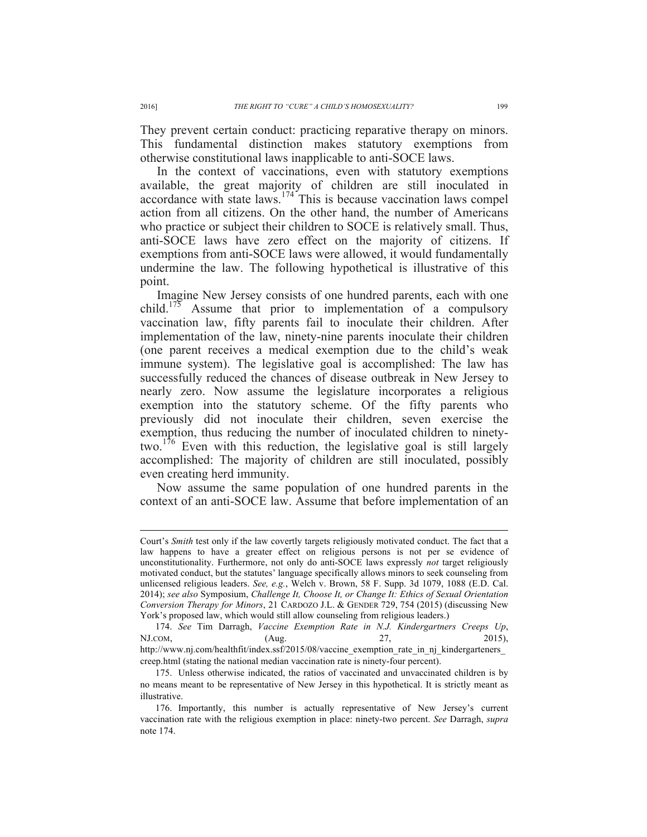They prevent certain conduct: practicing reparative therapy on minors. This fundamental distinction makes statutory exemptions from otherwise constitutional laws inapplicable to anti-SOCE laws.

In the context of vaccinations, even with statutory exemptions available, the great majority of children are still inoculated in  $\alpha$  accordance with state laws.<sup>174</sup> This is because vaccination laws compel action from all citizens. On the other hand, the number of Americans who practice or subject their children to SOCE is relatively small. Thus, anti-SOCE laws have zero effect on the majority of citizens. If exemptions from anti-SOCE laws were allowed, it would fundamentally undermine the law. The following hypothetical is illustrative of this point.

Imagine New Jersey consists of one hundred parents, each with one child.<sup>175</sup> Assume that prior to implementation of a compulsory vaccination law, fifty parents fail to inoculate their children. After implementation of the law, ninety-nine parents inoculate their children (one parent receives a medical exemption due to the child's weak immune system). The legislative goal is accomplished: The law has successfully reduced the chances of disease outbreak in New Jersey to nearly zero. Now assume the legislature incorporates a religious exemption into the statutory scheme. Of the fifty parents who previously did not inoculate their children, seven exercise the exemption, thus reducing the number of inoculated children to ninetytwo.<sup>176</sup> Even with this reduction, the legislative goal is still largely accomplished: The majority of children are still inoculated, possibly even creating herd immunity.

Now assume the same population of one hundred parents in the context of an anti-SOCE law. Assume that before implementation of an

Court's *Smith* test only if the law covertly targets religiously motivated conduct. The fact that a law happens to have a greater effect on religious persons is not per se evidence of unconstitutionality. Furthermore, not only do anti-SOCE laws expressly *not* target religiously motivated conduct, but the statutes' language specifically allows minors to seek counseling from unlicensed religious leaders. *See, e.g.*, Welch v. Brown, 58 F. Supp. 3d 1079, 1088 (E.D. Cal. 2014); *see also* Symposium, *Challenge It, Choose It, or Change It: Ethics of Sexual Orientation Conversion Therapy for Minors*, 21 CARDOZO J.L. & GENDER 729, 754 (2015) (discussing New York's proposed law, which would still allow counseling from religious leaders.)

<sup>174.</sup> *See* Tim Darragh, *Vaccine Exemption Rate in N.J. Kindergartners Creeps Up*, NJ.COM, (Aug. 27, 2015), http://www.nj.com/healthfit/index.ssf/2015/08/vaccine exemption rate in nj kindergarteners creep.html (stating the national median vaccination rate is ninety-four percent).

<sup>175.</sup> Unless otherwise indicated, the ratios of vaccinated and unvaccinated children is by no means meant to be representative of New Jersey in this hypothetical. It is strictly meant as illustrative.

<sup>176.</sup> Importantly, this number is actually representative of New Jersey's current vaccination rate with the religious exemption in place: ninety-two percent. *See* Darragh, *supra* note 174.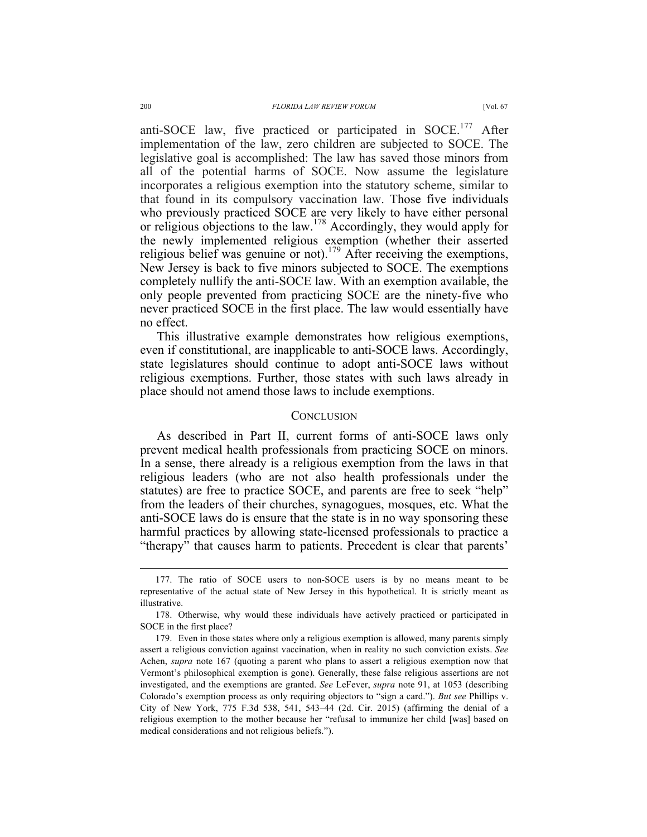anti-SOCE law, five practiced or participated in SOCE.<sup>177</sup> After implementation of the law, zero children are subjected to SOCE. The legislative goal is accomplished: The law has saved those minors from all of the potential harms of SOCE. Now assume the legislature incorporates a religious exemption into the statutory scheme, similar to that found in its compulsory vaccination law. Those five individuals who previously practiced SOCE are very likely to have either personal or religious objections to the law.<sup>178</sup> Accordingly, they would apply for the newly implemented religious exemption (whether their asserted religious belief was genuine or not).<sup>179</sup> After receiving the exemptions, New Jersey is back to five minors subjected to SOCE. The exemptions completely nullify the anti-SOCE law. With an exemption available, the only people prevented from practicing SOCE are the ninety-five who never practiced SOCE in the first place. The law would essentially have no effect.

This illustrative example demonstrates how religious exemptions, even if constitutional, are inapplicable to anti-SOCE laws. Accordingly, state legislatures should continue to adopt anti-SOCE laws without religious exemptions. Further, those states with such laws already in place should not amend those laws to include exemptions.

#### **CONCLUSION**

As described in Part II, current forms of anti-SOCE laws only prevent medical health professionals from practicing SOCE on minors. In a sense, there already is a religious exemption from the laws in that religious leaders (who are not also health professionals under the statutes) are free to practice SOCE, and parents are free to seek "help" from the leaders of their churches, synagogues, mosques, etc. What the anti-SOCE laws do is ensure that the state is in no way sponsoring these harmful practices by allowing state-licensed professionals to practice a "therapy" that causes harm to patients. Precedent is clear that parents'

 <sup>177.</sup> The ratio of SOCE users to non-SOCE users is by no means meant to be representative of the actual state of New Jersey in this hypothetical. It is strictly meant as illustrative.

<sup>178.</sup> Otherwise, why would these individuals have actively practiced or participated in SOCE in the first place?

<sup>179.</sup> Even in those states where only a religious exemption is allowed, many parents simply assert a religious conviction against vaccination, when in reality no such conviction exists. *See* Achen, *supra* note 167 (quoting a parent who plans to assert a religious exemption now that Vermont's philosophical exemption is gone). Generally, these false religious assertions are not investigated, and the exemptions are granted. *See* LeFever, *supra* note 91, at 1053 (describing Colorado's exemption process as only requiring objectors to "sign a card."). *But see* Phillips v. City of New York, 775 F.3d 538, 541, 543–44 (2d. Cir. 2015) (affirming the denial of a religious exemption to the mother because her "refusal to immunize her child [was] based on medical considerations and not religious beliefs.").